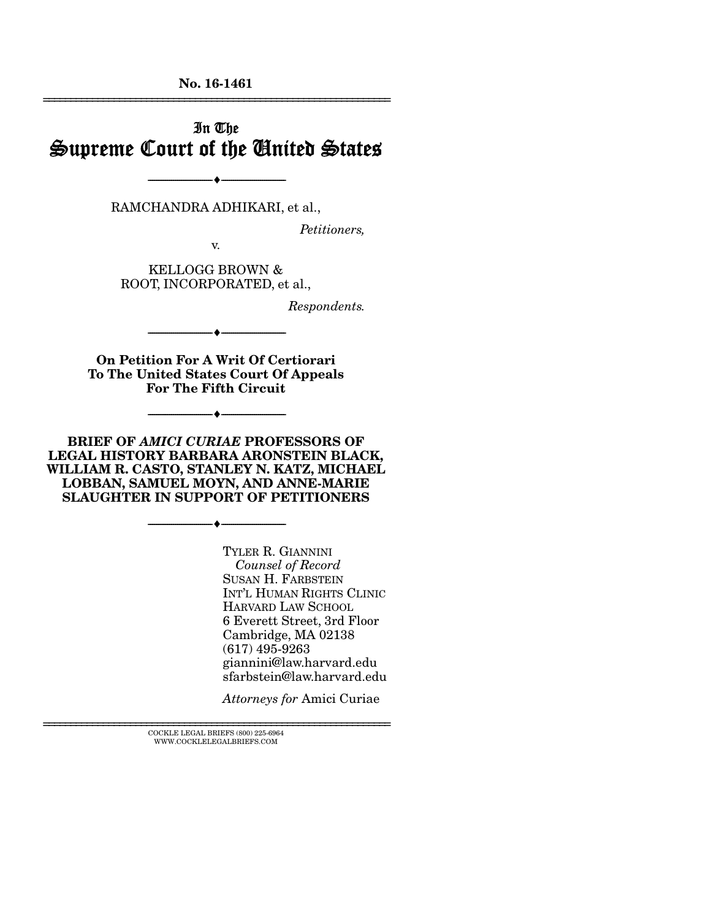No. 16-1461 ================================================================

## In The Supreme Court of the United States

RAMCHANDRA ADHIKARI, et al.,

--------------------------------- ---------------------------------

*Petitioners,* 

v.

KELLOGG BROWN & ROOT, INCORPORATED, et al.,

*Respondents.* 

--------------------------------- --------------------------------- On Petition For A Writ Of Certiorari

To The United States Court Of Appeals For The Fifth Circuit

--------------------------------- ---------------------------------

BRIEF OF *AMICI CURIAE* PROFESSORS OF LEGAL HISTORY BARBARA ARONSTEIN BLACK, WILLIAM R. CASTO, STANLEY N. KATZ, MICHAEL LOBBAN, SAMUEL MOYN, AND ANNE-MARIE SLAUGHTER IN SUPPORT OF PETITIONERS

--------------------------------- ---------------------------------

TYLER R. GIANNINI *Counsel of Record* SUSAN H. FARBSTEIN INT'L HUMAN RIGHTS CLINIC HARVARD LAW SCHOOL 6 Everett Street, 3rd Floor Cambridge, MA 02138 (617) 495-9263 giannini@law.harvard.edu sfarbstein@law.harvard.edu

*Attorneys for* Amici Curiae

 $\textsc{COCKLE}$  LEGAL BRIEFS (800) 225-6964 WWW.COCKLELEGALBRIEFS.COM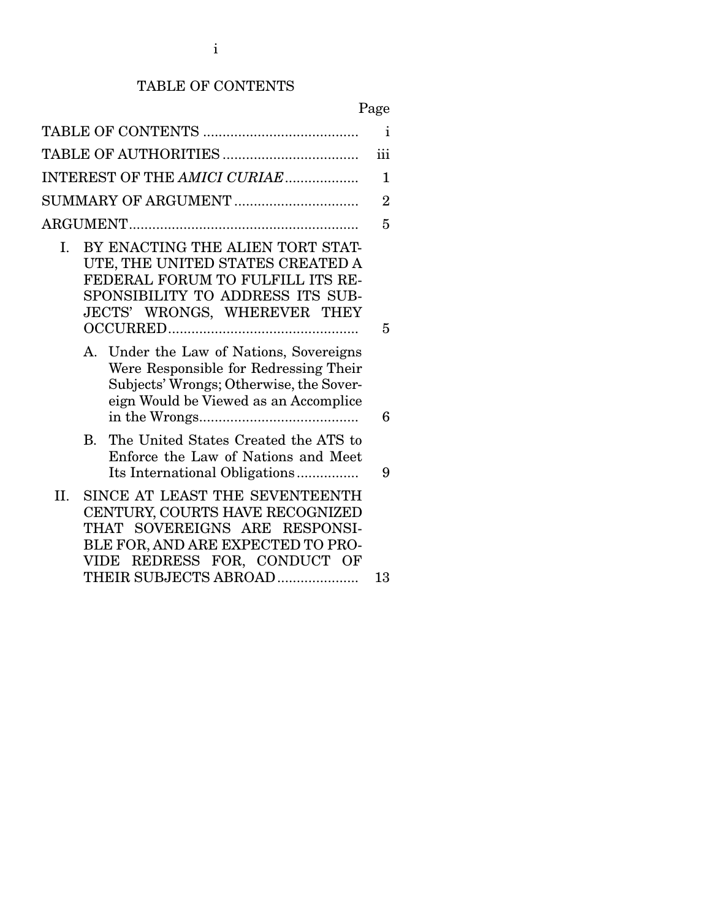## TABLE OF CONTENTS

| ×<br>٧ |
|--------|
|--------|

|                                                                                                                                                                                                            | i              |
|------------------------------------------------------------------------------------------------------------------------------------------------------------------------------------------------------------|----------------|
|                                                                                                                                                                                                            | iii            |
| INTEREST OF THE AMICI CURIAE                                                                                                                                                                               | 1              |
| SUMMARY OF ARGUMENT                                                                                                                                                                                        | $\overline{2}$ |
|                                                                                                                                                                                                            | 5              |
| BY ENACTING THE ALIEN TORT STAT-<br>I.<br>UTE, THE UNITED STATES CREATED A<br>FEDERAL FORUM TO FULFILL ITS RE-<br>SPONSIBILITY TO ADDRESS ITS SUB-<br>JECTS' WRONGS, WHEREVER THEY                         | 5              |
| A. Under the Law of Nations, Sovereigns<br>Were Responsible for Redressing Their<br>Subjects' Wrongs; Otherwise, the Sover-<br>eign Would be Viewed as an Accomplice                                       | 6              |
| The United States Created the ATS to<br>В.<br>Enforce the Law of Nations and Meet<br>Its International Obligations                                                                                         | 9              |
| SINCE AT LEAST THE SEVENTEENTH<br>II.<br>CENTURY, COURTS HAVE RECOGNIZED<br>THAT SOVEREIGNS ARE RESPONSI-<br>BLE FOR, AND ARE EXPECTED TO PRO-<br>REDRESS FOR, CONDUCT OF<br>VIDE<br>THEIR SUBJECTS ABROAD | 13             |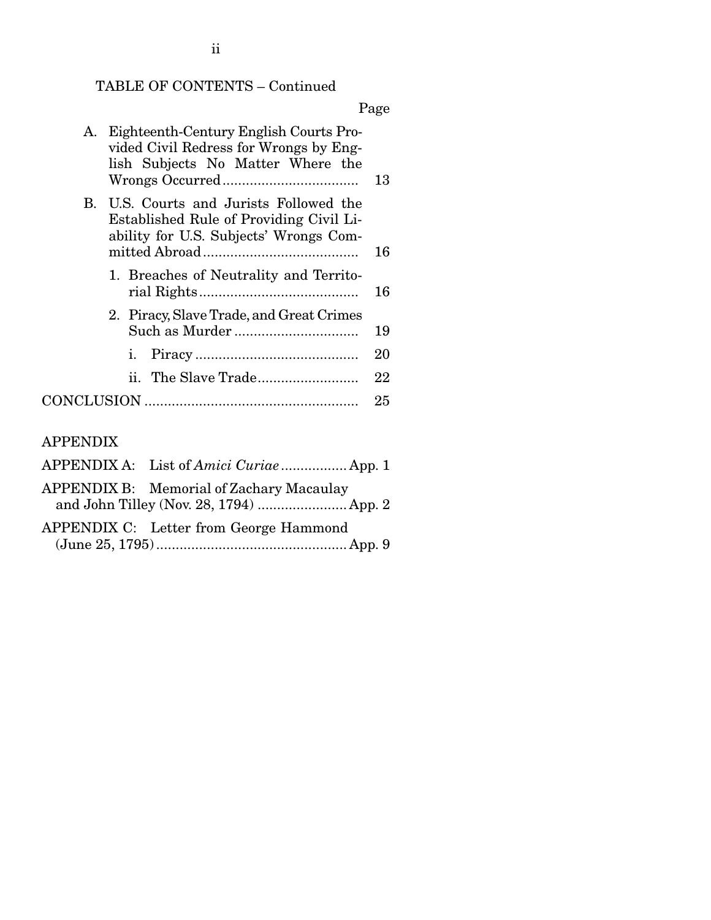## TABLE OF CONTENTS – Continued

## Page

| А.         | Eighteenth-Century English Courts Pro-<br>vided Civil Redress for Wrongs by Eng-<br>lish Subjects No Matter Where the     | 13 |
|------------|---------------------------------------------------------------------------------------------------------------------------|----|
| <b>B.</b>  | U.S. Courts and Jurists Followed the<br>Established Rule of Providing Civil Li-<br>ability for U.S. Subjects' Wrongs Com- | 16 |
|            |                                                                                                                           |    |
|            | 1. Breaches of Neutrality and Territo-                                                                                    | 16 |
|            | 2. Piracy, Slave Trade, and Great Crimes                                                                                  |    |
|            |                                                                                                                           | 19 |
|            | i.                                                                                                                        | 20 |
|            |                                                                                                                           | 22 |
| CONCLUSION |                                                                                                                           | 25 |
|            |                                                                                                                           |    |

## APPENDIX

| APPENDIX A: List of <i>Amici Curiae</i> App. 1                                      |
|-------------------------------------------------------------------------------------|
| APPENDIX B: Memorial of Zachary Macaulay<br>and John Tilley (Nov. 28, 1794)  App. 2 |
| APPENDIX C: Letter from George Hammond                                              |
|                                                                                     |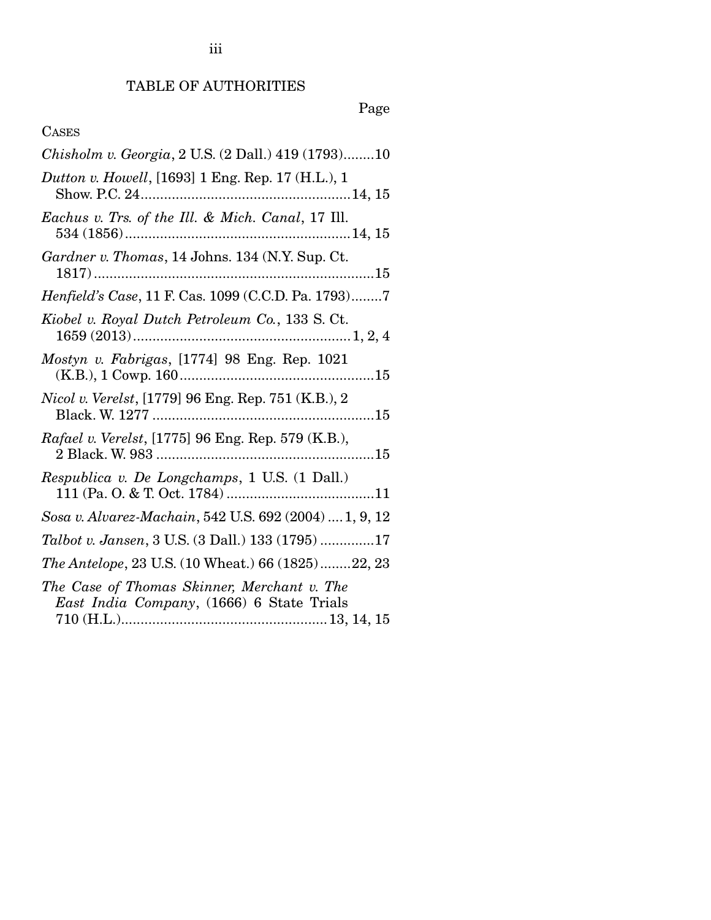# Page

## CASES

| Chisholm v. Georgia, 2 U.S. (2 Dall.) 419 (1793)10                                       |
|------------------------------------------------------------------------------------------|
| Dutton v. Howell, [1693] 1 Eng. Rep. 17 (H.L.), 1                                        |
| Eachus v. Trs. of the Ill. & Mich. Canal, 17 Ill.                                        |
| Gardner v. Thomas, 14 Johns. 134 (N.Y. Sup. Ct.                                          |
| Henfield's Case, 11 F. Cas. 1099 (C.C.D. Pa. 1793)7                                      |
| Kiobel v. Royal Dutch Petroleum Co., 133 S. Ct.                                          |
| Mostyn v. Fabrigas, [1774] 98 Eng. Rep. 1021                                             |
| <i>Nicol v. Verelst,</i> [1779] 96 Eng. Rep. 751 (K.B.), 2                               |
| Rafael v. Verelst, [1775] 96 Eng. Rep. 579 (K.B.),                                       |
| Respublica v. De Longchamps, 1 U.S. (1 Dall.)                                            |
| Sosa v. Alvarez-Machain, 542 U.S. 692 (2004)  1, 9, 12                                   |
| Talbot v. Jansen, 3 U.S. (3 Dall.) 133 (1795) 17                                         |
| The Antelope, 23 U.S. (10 Wheat.) 66 (1825)22, 23                                        |
| The Case of Thomas Skinner, Merchant v. The<br>East India Company, (1666) 6 State Trials |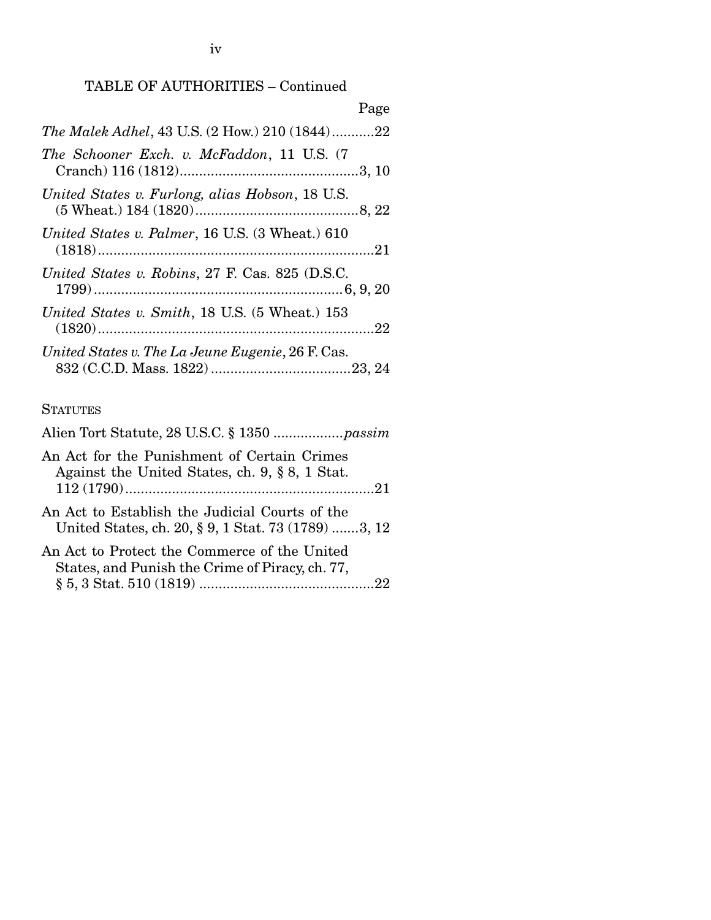## TABLE OF AUTHORITIES – Continued

|                                                        | Page |
|--------------------------------------------------------|------|
| <i>The Malek Adhel</i> , 43 U.S. (2 How.) 210 (1844)22 |      |
| The Schooner Exch. v. McFaddon, 11 U.S. (7             |      |
| United States v. Furlong, alias Hobson, 18 U.S.        |      |
| United States v. Palmer, 16 U.S. (3 Wheat.) 610        |      |
| United States v. Robins, 27 F. Cas. 825 (D.S.C.        |      |
| United States v. Smith, 18 U.S. (5 Wheat.) 153         |      |
| United States v. The La Jeune Eugenie, 26 F. Cas.      |      |

## **STATUTES**

| An Act for the Punishment of Certain Crimes<br>Against the United States, ch. $9, § 8, 1$ Stat.       |  |
|-------------------------------------------------------------------------------------------------------|--|
|                                                                                                       |  |
| An Act to Establish the Judicial Courts of the<br>United States, ch. 20, § 9, 1 Stat. 73 (1789) 3, 12 |  |
| An Act to Protect the Commerce of the United<br>States, and Punish the Crime of Piracy, ch. 77,       |  |
|                                                                                                       |  |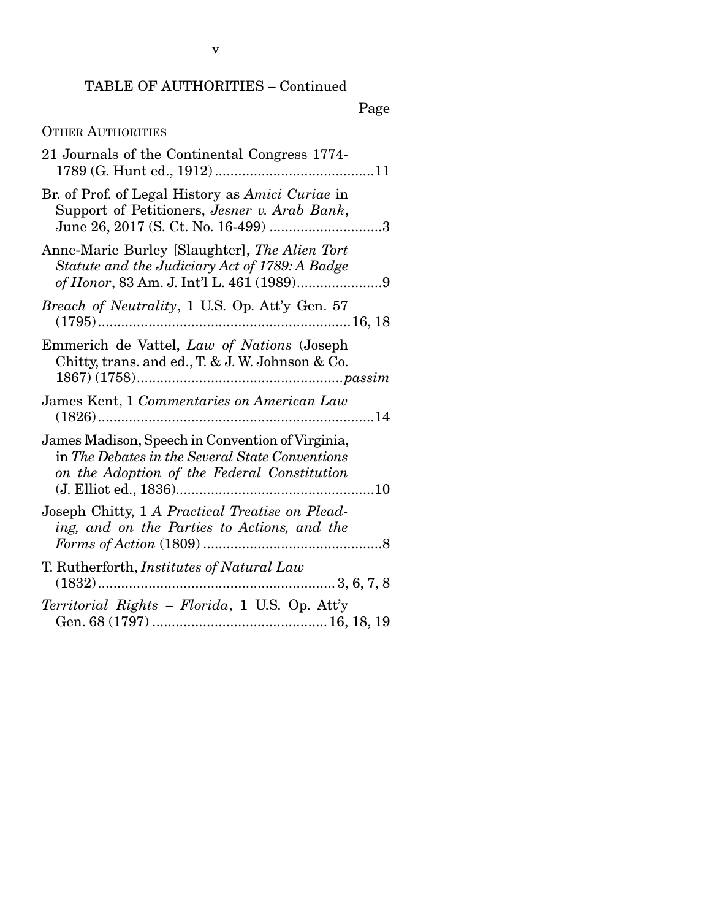## TABLE OF AUTHORITIES – Continued

## Page

## OTHER AUTHORITIES

| 21 Journals of the Continental Congress 1774-                                                                                                      |
|----------------------------------------------------------------------------------------------------------------------------------------------------|
| Br. of Prof. of Legal History as Amici Curiae in<br>Support of Petitioners, Jesner v. Arab Bank,<br>June 26, 2017 (S. Ct. No. 16-499) 3            |
| Anne-Marie Burley [Slaughter], The Alien Tort<br>Statute and the Judiciary Act of 1789: A Badge                                                    |
| Breach of Neutrality, 1 U.S. Op. Att'y Gen. 57                                                                                                     |
| Emmerich de Vattel, Law of Nations (Joseph<br>Chitty, trans. and ed., T. & J. W. Johnson & Co.                                                     |
| James Kent, 1 Commentaries on American Law                                                                                                         |
| James Madison, Speech in Convention of Virginia,<br>in The Debates in the Several State Conventions<br>on the Adoption of the Federal Constitution |
| Joseph Chitty, 1 A Practical Treatise on Plead-<br>ing, and on the Parties to Actions, and the                                                     |
| T. Rutherforth, <i>Institutes of Natural Law</i>                                                                                                   |
| Territorial Rights - Florida, 1 U.S. Op. Att'y                                                                                                     |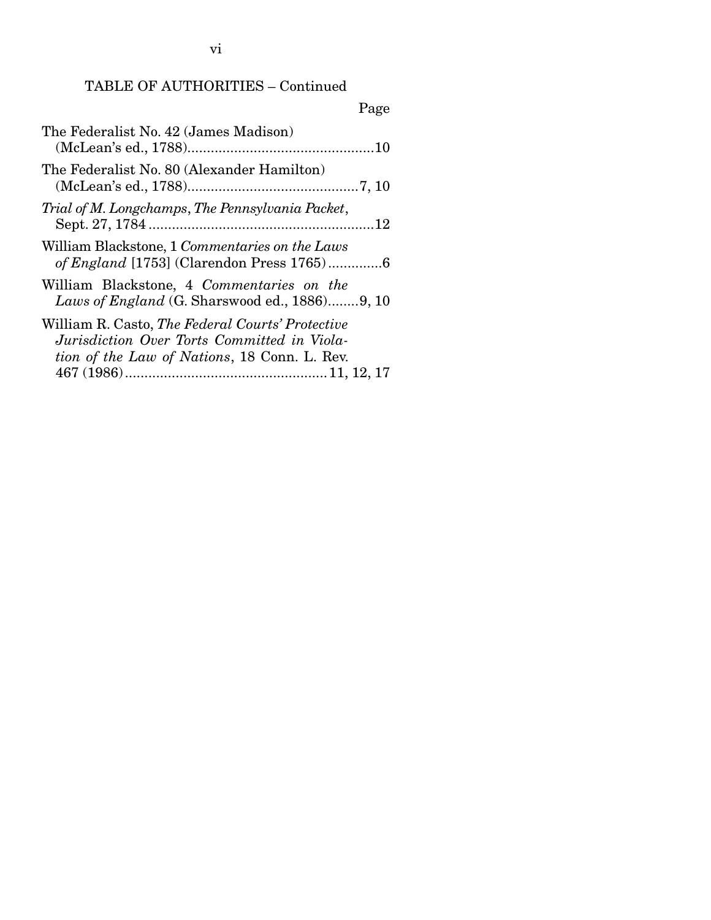## TABLE OF AUTHORITIES – Continued

| Page                                          |
|-----------------------------------------------|
|                                               |
|                                               |
|                                               |
|                                               |
| Laws of England (G. Sharswood ed., 1886)9, 10 |
|                                               |
|                                               |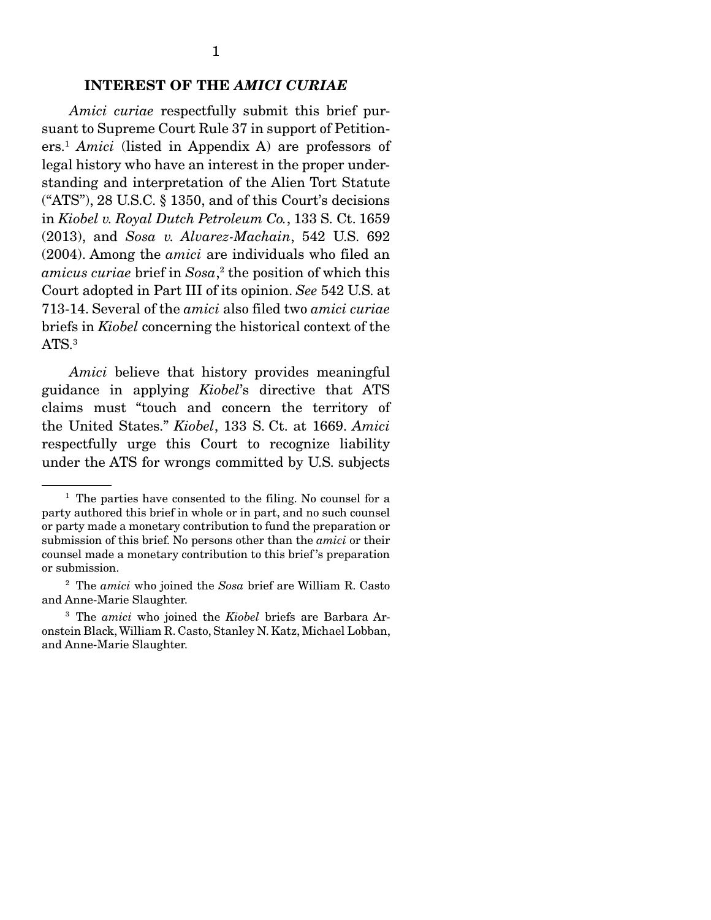## INTEREST OF THE *AMICI CURIAE*

 *Amici curiae* respectfully submit this brief pursuant to Supreme Court Rule 37 in support of Petitioners.1 *Amici* (listed in Appendix A) are professors of legal history who have an interest in the proper understanding and interpretation of the Alien Tort Statute ("ATS"), 28 U.S.C. § 1350, and of this Court's decisions in *Kiobel v. Royal Dutch Petroleum Co.*, 133 S. Ct. 1659 (2013), and *Sosa v. Alvarez-Machain*, 542 U.S. 692 (2004). Among the *amici* are individuals who filed an *amicus curiae* brief in *Sosa*, 2 the position of which this Court adopted in Part III of its opinion. *See* 542 U.S. at 713-14. Several of the *amici* also filed two *amici curiae*  briefs in *Kiobel* concerning the historical context of the ATS.<sup>3</sup>

*Amici* believe that history provides meaningful guidance in applying *Kiobel*'s directive that ATS claims must "touch and concern the territory of the United States." *Kiobel*, 133 S. Ct. at 1669. *Amici* respectfully urge this Court to recognize liability under the ATS for wrongs committed by U.S. subjects

<sup>&</sup>lt;sup>1</sup> The parties have consented to the filing. No counsel for a party authored this brief in whole or in part, and no such counsel or party made a monetary contribution to fund the preparation or submission of this brief. No persons other than the *amici* or their counsel made a monetary contribution to this brief 's preparation or submission.

<sup>2</sup> The *amici* who joined the *Sosa* brief are William R. Casto and Anne-Marie Slaughter.

<sup>3</sup> The *amici* who joined the *Kiobel* briefs are Barbara Aronstein Black, William R. Casto, Stanley N. Katz, Michael Lobban, and Anne-Marie Slaughter.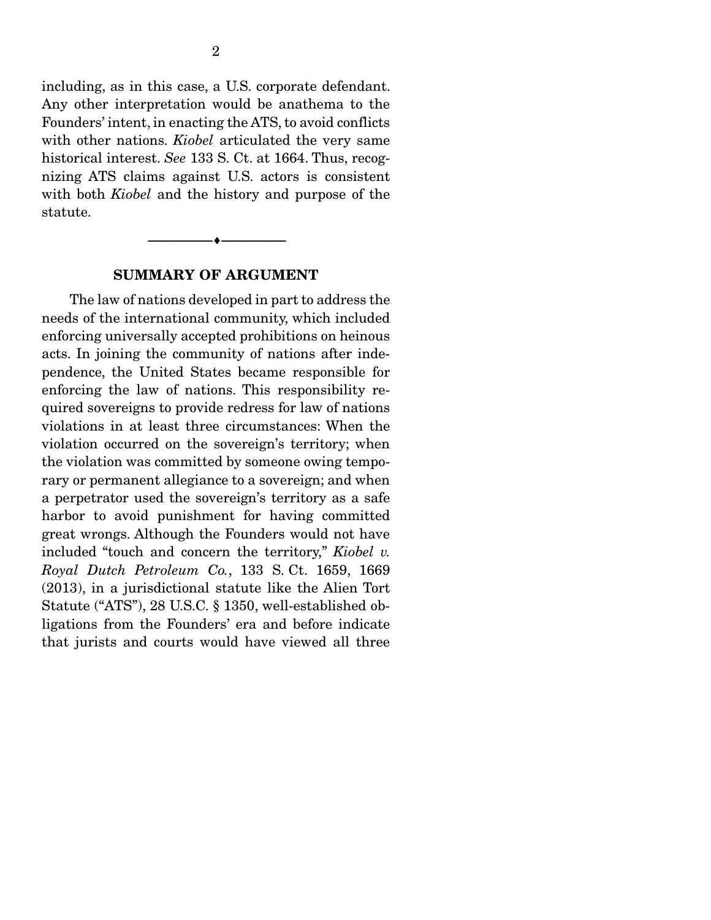including, as in this case, a U.S. corporate defendant. Any other interpretation would be anathema to the Founders' intent, in enacting the ATS, to avoid conflicts with other nations. *Kiobel* articulated the very same historical interest. *See* 133 S. Ct. at 1664. Thus, recognizing ATS claims against U.S. actors is consistent with both *Kiobel* and the history and purpose of the statute.

#### SUMMARY OF ARGUMENT

--------------------------------- ---------------------------------

 The law of nations developed in part to address the needs of the international community, which included enforcing universally accepted prohibitions on heinous acts. In joining the community of nations after independence, the United States became responsible for enforcing the law of nations. This responsibility required sovereigns to provide redress for law of nations violations in at least three circumstances: When the violation occurred on the sovereign's territory; when the violation was committed by someone owing temporary or permanent allegiance to a sovereign; and when a perpetrator used the sovereign's territory as a safe harbor to avoid punishment for having committed great wrongs. Although the Founders would not have included "touch and concern the territory," *Kiobel v. Royal Dutch Petroleum Co.*, 133 S. Ct. 1659, 1669 (2013), in a jurisdictional statute like the Alien Tort Statute ("ATS"), 28 U.S.C. § 1350, well-established obligations from the Founders' era and before indicate that jurists and courts would have viewed all three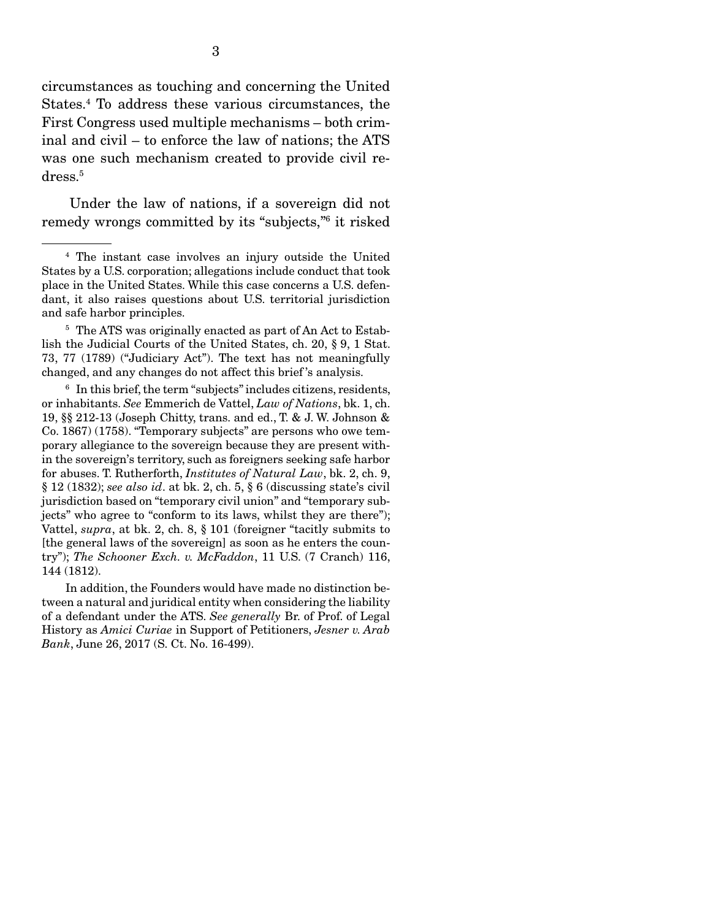circumstances as touching and concerning the United States.4 To address these various circumstances, the First Congress used multiple mechanisms – both criminal and civil – to enforce the law of nations; the ATS was one such mechanism created to provide civil redress.5

 Under the law of nations, if a sovereign did not remedy wrongs committed by its "subjects,"6 it risked

<sup>4</sup> The instant case involves an injury outside the United States by a U.S. corporation; allegations include conduct that took place in the United States. While this case concerns a U.S. defendant, it also raises questions about U.S. territorial jurisdiction and safe harbor principles.

<sup>&</sup>lt;sup>5</sup> The ATS was originally enacted as part of An Act to Establish the Judicial Courts of the United States, ch. 20, § 9, 1 Stat. 73, 77 (1789) ("Judiciary Act"). The text has not meaningfully changed, and any changes do not affect this brief 's analysis.

<sup>6</sup> In this brief, the term "subjects" includes citizens, residents, or inhabitants. *See* Emmerich de Vattel, *Law of Nations*, bk. 1, ch. 19, §§ 212-13 (Joseph Chitty, trans. and ed., T. & J. W. Johnson & Co. 1867) (1758). "Temporary subjects" are persons who owe temporary allegiance to the sovereign because they are present within the sovereign's territory, such as foreigners seeking safe harbor for abuses. T. Rutherforth, *Institutes of Natural Law*, bk. 2, ch. 9, § 12 (1832); *see also id*. at bk. 2, ch. 5, § 6 (discussing state's civil jurisdiction based on "temporary civil union" and "temporary subjects" who agree to "conform to its laws, whilst they are there"); Vattel, *supra*, at bk. 2, ch. 8, § 101 (foreigner "tacitly submits to [the general laws of the sovereign] as soon as he enters the country"); *The Schooner Exch. v. McFaddon*, 11 U.S. (7 Cranch) 116, 144 (1812).

In addition, the Founders would have made no distinction between a natural and juridical entity when considering the liability of a defendant under the ATS. *See generally* Br. of Prof. of Legal History as *Amici Curiae* in Support of Petitioners, *Jesner v. Arab Bank*, June 26, 2017 (S. Ct. No. 16-499).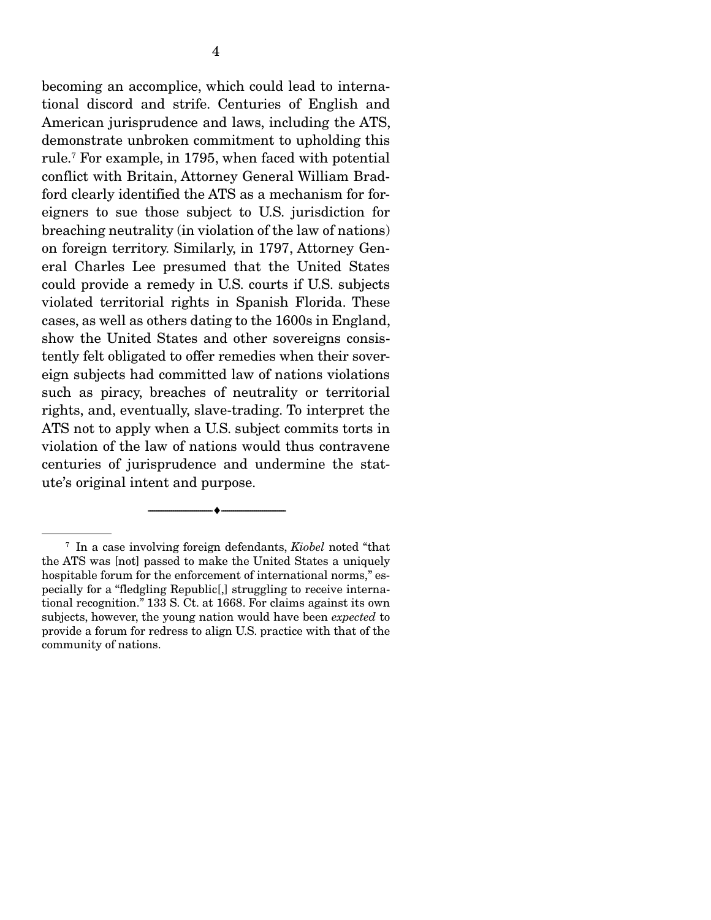becoming an accomplice, which could lead to international discord and strife. Centuries of English and American jurisprudence and laws, including the ATS, demonstrate unbroken commitment to upholding this rule.7 For example, in 1795, when faced with potential conflict with Britain, Attorney General William Bradford clearly identified the ATS as a mechanism for foreigners to sue those subject to U.S. jurisdiction for breaching neutrality (in violation of the law of nations) on foreign territory. Similarly, in 1797, Attorney General Charles Lee presumed that the United States could provide a remedy in U.S. courts if U.S. subjects violated territorial rights in Spanish Florida. These cases, as well as others dating to the 1600s in England, show the United States and other sovereigns consistently felt obligated to offer remedies when their sovereign subjects had committed law of nations violations such as piracy, breaches of neutrality or territorial rights, and, eventually, slave-trading. To interpret the ATS not to apply when a U.S. subject commits torts in violation of the law of nations would thus contravene centuries of jurisprudence and undermine the statute's original intent and purpose.

--------------------------------- ---------------------------------

<sup>7</sup> In a case involving foreign defendants, *Kiobel* noted "that the ATS was [not] passed to make the United States a uniquely hospitable forum for the enforcement of international norms," especially for a "fledgling Republic[,] struggling to receive international recognition." 133 S. Ct. at 1668. For claims against its own subjects, however, the young nation would have been *expected* to provide a forum for redress to align U.S. practice with that of the community of nations.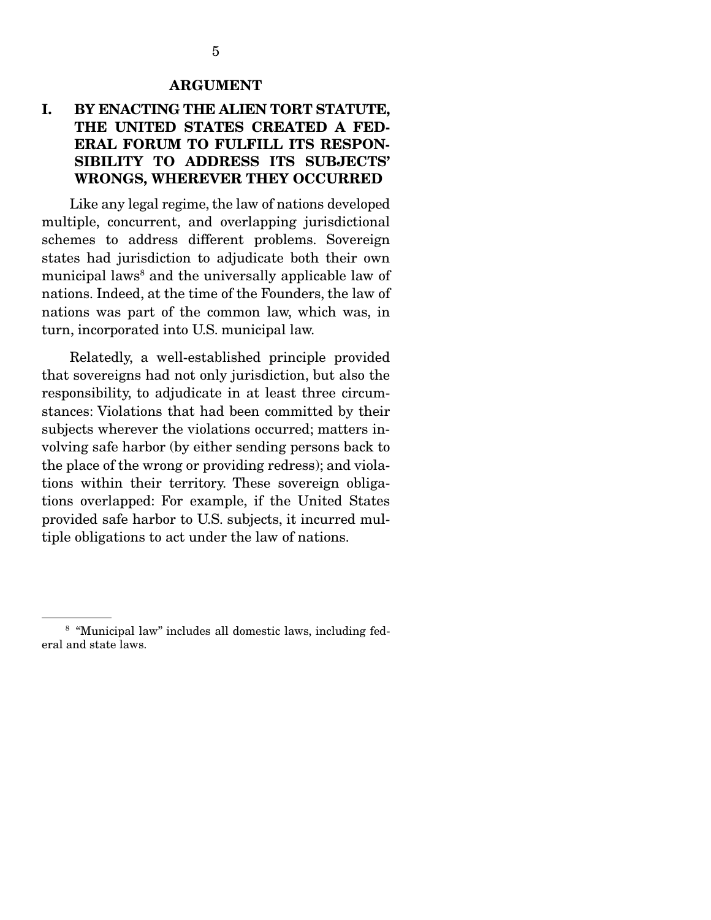#### ARGUMENT

## I. BY ENACTING THE ALIEN TORT STATUTE, THE UNITED STATES CREATED A FED-ERAL FORUM TO FULFILL ITS RESPON-SIBILITY TO ADDRESS ITS SUBJECTS' WRONGS, WHEREVER THEY OCCURRED

 Like any legal regime, the law of nations developed multiple, concurrent, and overlapping jurisdictional schemes to address different problems. Sovereign states had jurisdiction to adjudicate both their own municipal laws<sup>8</sup> and the universally applicable law of nations. Indeed, at the time of the Founders, the law of nations was part of the common law, which was, in turn, incorporated into U.S. municipal law.

 Relatedly, a well-established principle provided that sovereigns had not only jurisdiction, but also the responsibility, to adjudicate in at least three circumstances: Violations that had been committed by their subjects wherever the violations occurred; matters involving safe harbor (by either sending persons back to the place of the wrong or providing redress); and violations within their territory. These sovereign obligations overlapped: For example, if the United States provided safe harbor to U.S. subjects, it incurred multiple obligations to act under the law of nations.

<sup>&</sup>lt;sup>8</sup> "Municipal law" includes all domestic laws, including federal and state laws.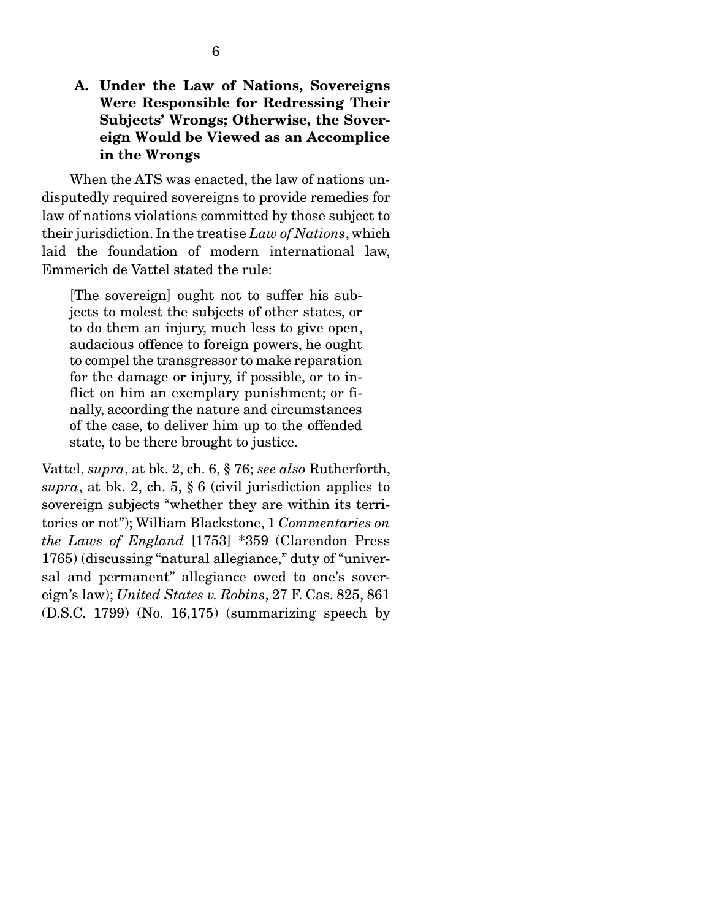### A. Under the Law of Nations, Sovereigns Were Responsible for Redressing Their Subjects' Wrongs; Otherwise, the Sovereign Would be Viewed as an Accomplice in the Wrongs

 When the ATS was enacted, the law of nations undisputedly required sovereigns to provide remedies for law of nations violations committed by those subject to their jurisdiction. In the treatise *Law of Nations*, which laid the foundation of modern international law, Emmerich de Vattel stated the rule:

[The sovereign] ought not to suffer his subjects to molest the subjects of other states, or to do them an injury, much less to give open, audacious offence to foreign powers, he ought to compel the transgressor to make reparation for the damage or injury, if possible, or to inflict on him an exemplary punishment; or finally, according the nature and circumstances of the case, to deliver him up to the offended state, to be there brought to justice.

Vattel, *supra*, at bk. 2, ch. 6, § 76; *see also* Rutherforth, *supra*, at bk. 2, ch. 5, § 6 (civil jurisdiction applies to sovereign subjects "whether they are within its territories or not"); William Blackstone, 1 *Commentaries on the Laws of England* [1753] \*359 (Clarendon Press 1765) (discussing "natural allegiance," duty of "universal and permanent" allegiance owed to one's sovereign's law); *United States v. Robins*, 27 F. Cas. 825, 861 (D.S.C. 1799) (No. 16,175) (summarizing speech by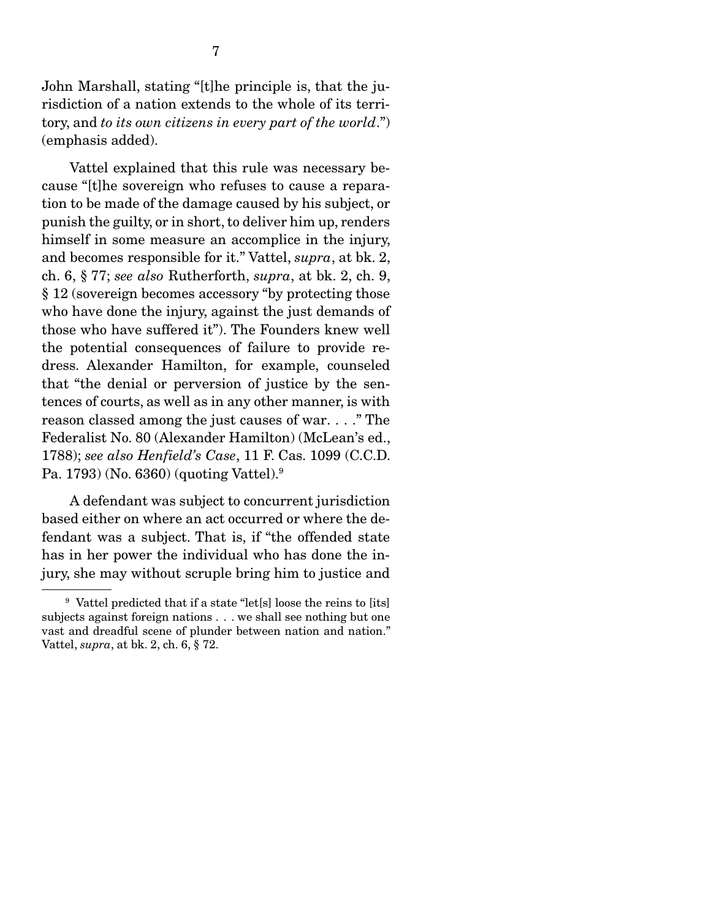John Marshall, stating "[t]he principle is, that the jurisdiction of a nation extends to the whole of its territory, and *to its own citizens in every part of the world*.") (emphasis added).

 Vattel explained that this rule was necessary because "[t]he sovereign who refuses to cause a reparation to be made of the damage caused by his subject, or punish the guilty, or in short, to deliver him up, renders himself in some measure an accomplice in the injury, and becomes responsible for it." Vattel, *supra*, at bk. 2, ch. 6, § 77; *see also* Rutherforth, *supra*, at bk. 2, ch. 9, § 12 (sovereign becomes accessory "by protecting those who have done the injury, against the just demands of those who have suffered it"). The Founders knew well the potential consequences of failure to provide redress. Alexander Hamilton, for example, counseled that "the denial or perversion of justice by the sentences of courts, as well as in any other manner, is with reason classed among the just causes of war. . . ." The Federalist No. 80 (Alexander Hamilton) (McLean's ed., 1788); *see also Henfield's Case*, 11 F. Cas. 1099 (C.C.D. Pa. 1793) (No. 6360) (quoting Vattel).9

 A defendant was subject to concurrent jurisdiction based either on where an act occurred or where the defendant was a subject. That is, if "the offended state has in her power the individual who has done the injury, she may without scruple bring him to justice and

<sup>9</sup> Vattel predicted that if a state "let[s] loose the reins to [its] subjects against foreign nations . . . we shall see nothing but one vast and dreadful scene of plunder between nation and nation." Vattel, *supra*, at bk. 2, ch. 6, § 72.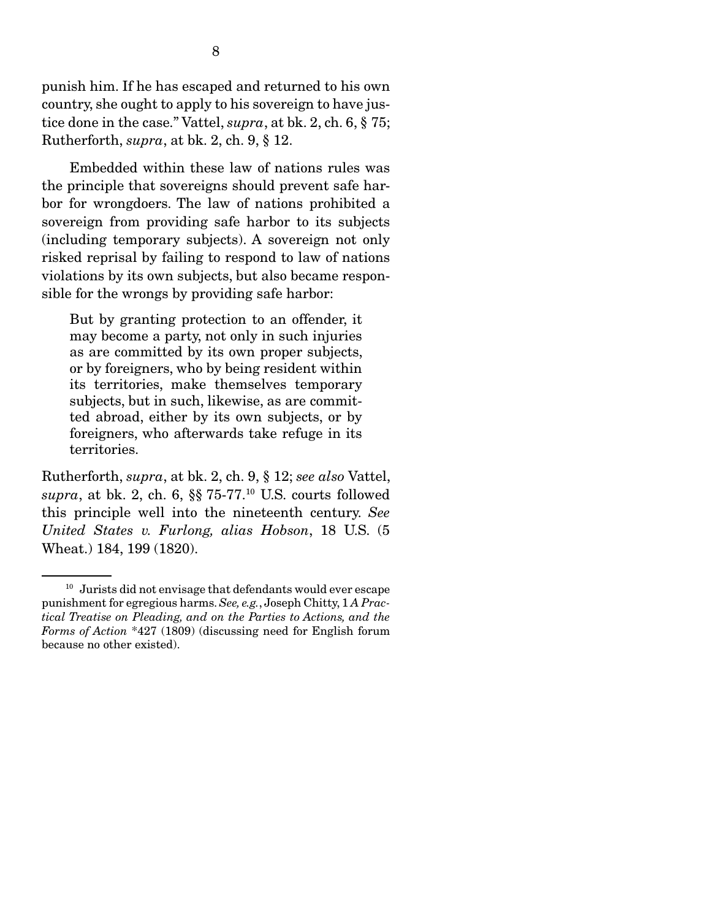punish him. If he has escaped and returned to his own country, she ought to apply to his sovereign to have justice done in the case." Vattel, *supra*, at bk. 2, ch. 6, § 75; Rutherforth, *supra*, at bk. 2, ch. 9, § 12.

 Embedded within these law of nations rules was the principle that sovereigns should prevent safe harbor for wrongdoers. The law of nations prohibited a sovereign from providing safe harbor to its subjects (including temporary subjects). A sovereign not only risked reprisal by failing to respond to law of nations violations by its own subjects, but also became responsible for the wrongs by providing safe harbor:

But by granting protection to an offender, it may become a party, not only in such injuries as are committed by its own proper subjects, or by foreigners, who by being resident within its territories, make themselves temporary subjects, but in such, likewise, as are committed abroad, either by its own subjects, or by foreigners, who afterwards take refuge in its territories.

Rutherforth, *supra*, at bk. 2, ch. 9, § 12; *see also* Vattel, *supra*, at bk. 2, ch. 6, §§ 75-77.10 U.S. courts followed this principle well into the nineteenth century. *See United States v. Furlong, alias Hobson*, 18 U.S. (5 Wheat.) 184, 199 (1820).

<sup>&</sup>lt;sup>10</sup> Jurists did not envisage that defendants would ever escape punishment for egregious harms. *See, e.g.*, Joseph Chitty, 1 *A Practical Treatise on Pleading, and on the Parties to Actions, and the Forms of Action* \*427 (1809) (discussing need for English forum because no other existed).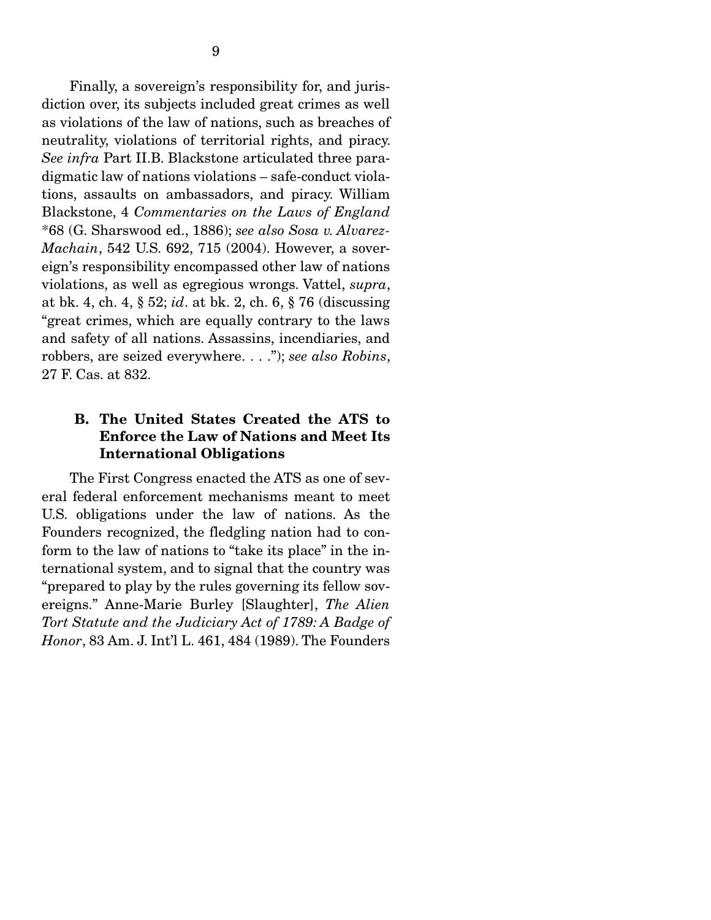Finally, a sovereign's responsibility for, and jurisdiction over, its subjects included great crimes as well as violations of the law of nations, such as breaches of neutrality, violations of territorial rights, and piracy. *See infra* Part II.B. Blackstone articulated three paradigmatic law of nations violations – safe-conduct violations, assaults on ambassadors, and piracy. William Blackstone, 4 *Commentaries on the Laws of England* \*68 (G. Sharswood ed., 1886); *see also Sosa v. Alvarez-Machain*, 542 U.S. 692, 715 (2004). However, a sovereign's responsibility encompassed other law of nations violations, as well as egregious wrongs. Vattel, *supra*, at bk. 4, ch. 4, § 52; *id*. at bk. 2, ch. 6, § 76 (discussing "great crimes, which are equally contrary to the laws and safety of all nations. Assassins, incendiaries, and robbers, are seized everywhere. . . ."); *see also Robins*, 27 F. Cas. at 832.

## B. The United States Created the ATS to Enforce the Law of Nations and Meet Its International Obligations

The First Congress enacted the ATS as one of several federal enforcement mechanisms meant to meet U.S. obligations under the law of nations. As the Founders recognized, the fledgling nation had to conform to the law of nations to "take its place" in the international system, and to signal that the country was "prepared to play by the rules governing its fellow sovereigns." Anne-Marie Burley [Slaughter], *The Alien Tort Statute and the Judiciary Act of 1789: A Badge of Honor*, 83 Am. J. Int'l L. 461, 484 (1989). The Founders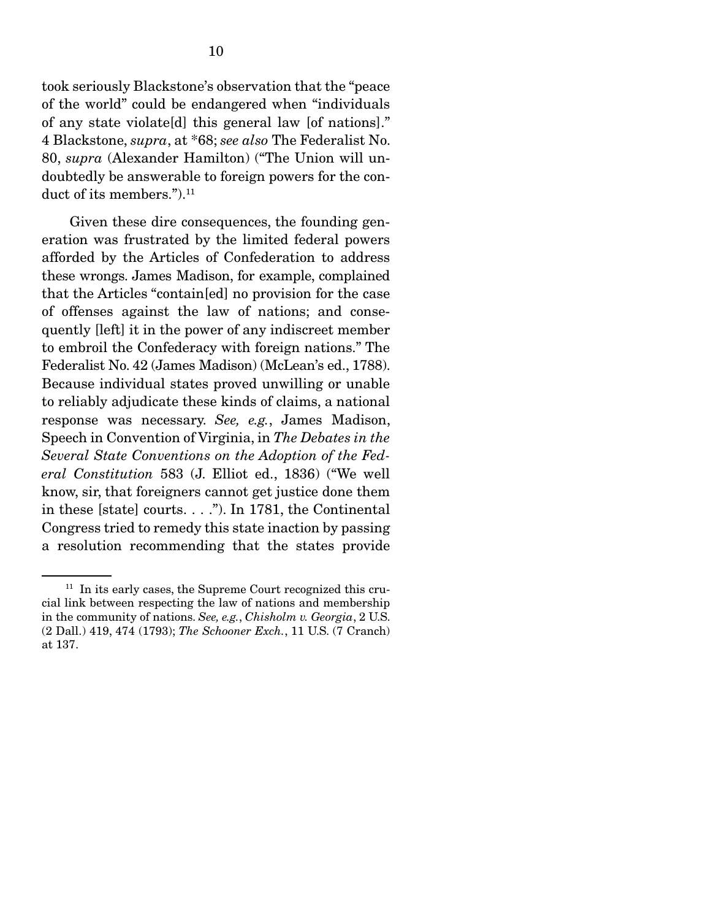took seriously Blackstone's observation that the "peace of the world" could be endangered when "individuals of any state violate[d] this general law [of nations]." 4 Blackstone, *supra*, at \*68; *see also* The Federalist No. 80, *supra* (Alexander Hamilton) ("The Union will undoubtedly be answerable to foreign powers for the conduct of its members.").<sup>11</sup>

 Given these dire consequences, the founding generation was frustrated by the limited federal powers afforded by the Articles of Confederation to address these wrongs. James Madison, for example, complained that the Articles "contain[ed] no provision for the case of offenses against the law of nations; and consequently [left] it in the power of any indiscreet member to embroil the Confederacy with foreign nations." The Federalist No. 42 (James Madison) (McLean's ed., 1788). Because individual states proved unwilling or unable to reliably adjudicate these kinds of claims, a national response was necessary. *See, e.g.*, James Madison, Speech in Convention of Virginia, in *The Debates in the Several State Conventions on the Adoption of the Federal Constitution* 583 (J. Elliot ed., 1836) ("We well know, sir, that foreigners cannot get justice done them in these [state] courts. . . ."). In 1781, the Continental Congress tried to remedy this state inaction by passing a resolution recommending that the states provide

 $11$  In its early cases, the Supreme Court recognized this crucial link between respecting the law of nations and membership in the community of nations. *See, e.g.*, *Chisholm v. Georgia*, 2 U.S. (2 Dall.) 419, 474 (1793); *The Schooner Exch.*, 11 U.S. (7 Cranch) at 137.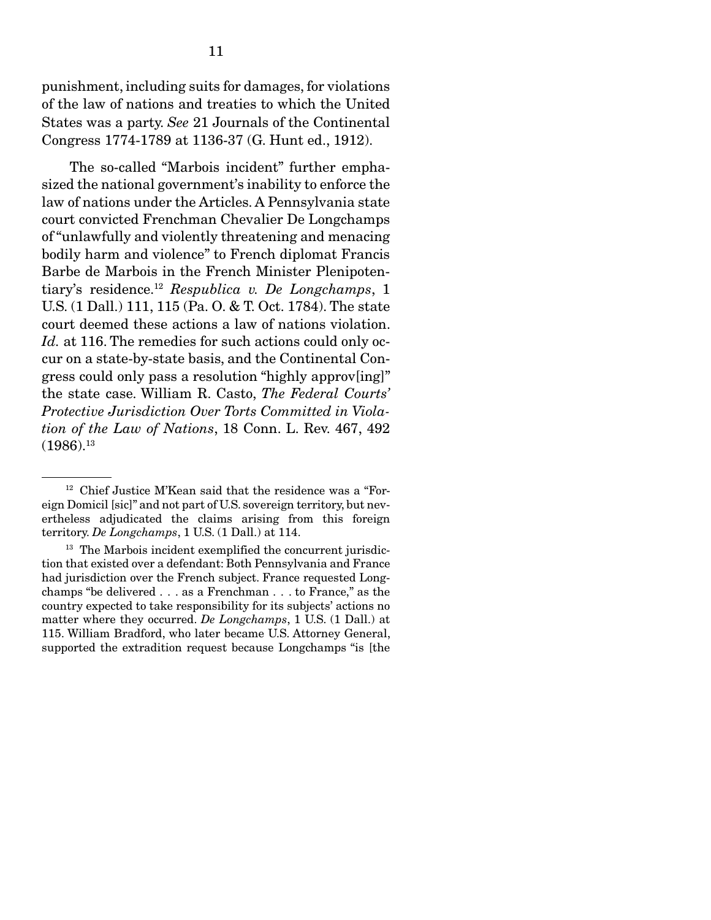punishment, including suits for damages, for violations of the law of nations and treaties to which the United States was a party. *See* 21 Journals of the Continental Congress 1774-1789 at 1136-37 (G. Hunt ed., 1912).

 The so-called "Marbois incident" further emphasized the national government's inability to enforce the law of nations under the Articles. A Pennsylvania state court convicted Frenchman Chevalier De Longchamps of "unlawfully and violently threatening and menacing bodily harm and violence" to French diplomat Francis Barbe de Marbois in the French Minister Plenipotentiary's residence.12 *Respublica v. De Longchamps*, 1 U.S. (1 Dall.) 111, 115 (Pa. O. & T. Oct. 1784). The state court deemed these actions a law of nations violation. *Id.* at 116. The remedies for such actions could only occur on a state-by-state basis, and the Continental Congress could only pass a resolution "highly approv[ing]" the state case. William R. Casto, *The Federal Courts' Protective Jurisdiction Over Torts Committed in Violation of the Law of Nations*, 18 Conn. L. Rev. 467, 492  $(1986).^{13}$ 

<sup>&</sup>lt;sup>12</sup> Chief Justice M'Kean said that the residence was a "Foreign Domicil [sic]" and not part of U.S. sovereign territory, but nevertheless adjudicated the claims arising from this foreign territory. *De Longchamps*, 1 U.S. (1 Dall.) at 114.

<sup>&</sup>lt;sup>13</sup> The Marbois incident exemplified the concurrent jurisdiction that existed over a defendant: Both Pennsylvania and France had jurisdiction over the French subject. France requested Longchamps "be delivered . . . as a Frenchman . . . to France," as the country expected to take responsibility for its subjects' actions no matter where they occurred. *De Longchamps*, 1 U.S. (1 Dall.) at 115. William Bradford, who later became U.S. Attorney General, supported the extradition request because Longchamps "is [the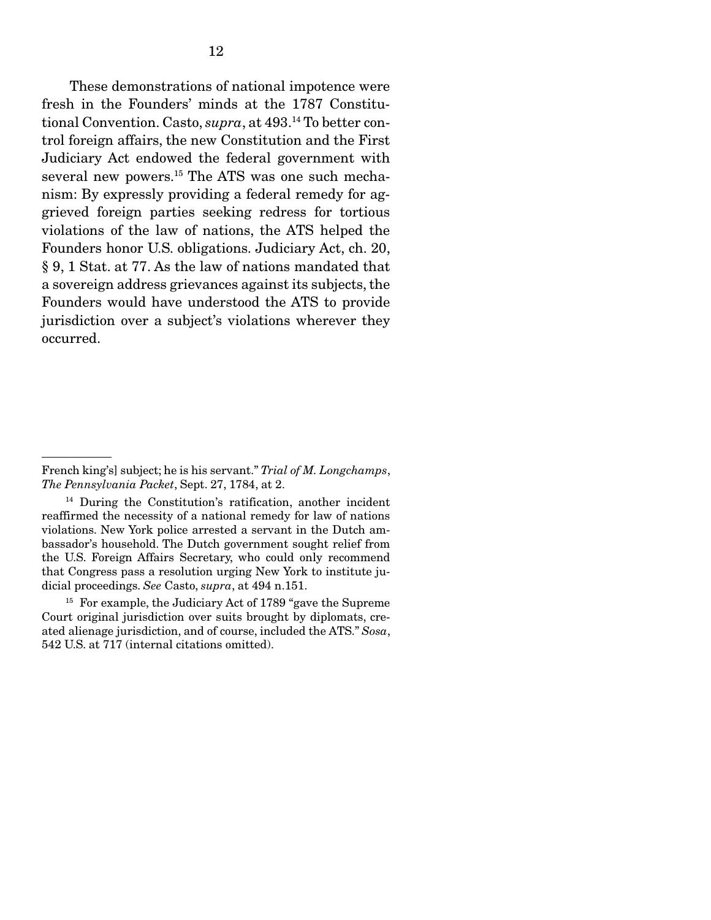These demonstrations of national impotence were fresh in the Founders' minds at the 1787 Constitutional Convention. Casto, *supra*, at 493.14 To better control foreign affairs, the new Constitution and the First Judiciary Act endowed the federal government with several new powers.<sup>15</sup> The ATS was one such mechanism: By expressly providing a federal remedy for aggrieved foreign parties seeking redress for tortious violations of the law of nations, the ATS helped the Founders honor U.S. obligations. Judiciary Act, ch. 20, § 9, 1 Stat. at 77. As the law of nations mandated that a sovereign address grievances against its subjects, the Founders would have understood the ATS to provide jurisdiction over a subject's violations wherever they occurred.

French king's] subject; he is his servant." *Trial of M. Longchamps*, *The Pennsylvania Packet*, Sept. 27, 1784, at 2.

<sup>14</sup> During the Constitution's ratification, another incident reaffirmed the necessity of a national remedy for law of nations violations. New York police arrested a servant in the Dutch ambassador's household. The Dutch government sought relief from the U.S. Foreign Affairs Secretary, who could only recommend that Congress pass a resolution urging New York to institute judicial proceedings. *See* Casto, *supra*, at 494 n.151.

<sup>&</sup>lt;sup>15</sup> For example, the Judiciary Act of 1789 "gave the Supreme" Court original jurisdiction over suits brought by diplomats, created alienage jurisdiction, and of course, included the ATS." *Sosa*, 542 U.S. at 717 (internal citations omitted).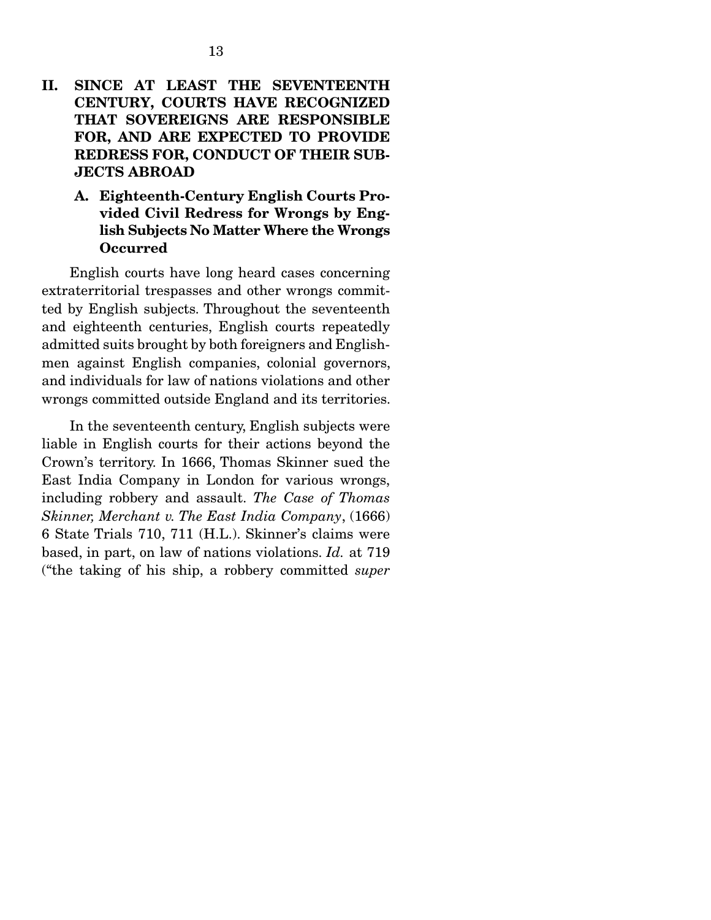## II. SINCE AT LEAST THE SEVENTEENTH CENTURY, COURTS HAVE RECOGNIZED THAT SOVEREIGNS ARE RESPONSIBLE FOR, AND ARE EXPECTED TO PROVIDE REDRESS FOR, CONDUCT OF THEIR SUB-JECTS ABROAD

A. Eighteenth-Century English Courts Provided Civil Redress for Wrongs by English Subjects No Matter Where the Wrongs Occurred

 English courts have long heard cases concerning extraterritorial trespasses and other wrongs committed by English subjects. Throughout the seventeenth and eighteenth centuries, English courts repeatedly admitted suits brought by both foreigners and Englishmen against English companies, colonial governors, and individuals for law of nations violations and other wrongs committed outside England and its territories.

 In the seventeenth century, English subjects were liable in English courts for their actions beyond the Crown's territory. In 1666, Thomas Skinner sued the East India Company in London for various wrongs, including robbery and assault. *The Case of Thomas Skinner, Merchant v. The East India Company*, (1666) 6 State Trials 710, 711 (H.L.). Skinner's claims were based, in part, on law of nations violations. *Id.* at 719 ("the taking of his ship, a robbery committed *super*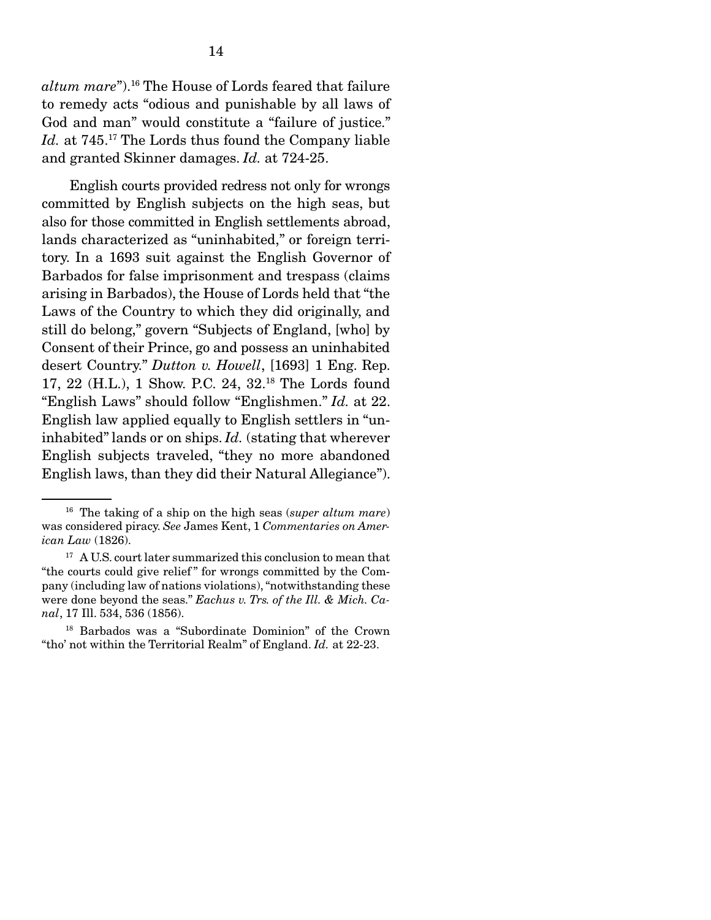*altum mare*").16 The House of Lords feared that failure to remedy acts "odious and punishable by all laws of God and man" would constitute a "failure of justice." Id. at 745.<sup>17</sup> The Lords thus found the Company liable and granted Skinner damages. *Id.* at 724-25.

 English courts provided redress not only for wrongs committed by English subjects on the high seas, but also for those committed in English settlements abroad, lands characterized as "uninhabited," or foreign territory. In a 1693 suit against the English Governor of Barbados for false imprisonment and trespass (claims arising in Barbados), the House of Lords held that "the Laws of the Country to which they did originally, and still do belong," govern "Subjects of England, [who] by Consent of their Prince, go and possess an uninhabited desert Country." *Dutton v. Howell*, [1693] 1 Eng. Rep. 17, 22 (H.L.), 1 Show. P.C. 24, 32.18 The Lords found "English Laws" should follow "Englishmen." *Id.* at 22. English law applied equally to English settlers in "uninhabited" lands or on ships. *Id.* (stating that wherever English subjects traveled, "they no more abandoned English laws, than they did their Natural Allegiance").

<sup>16</sup> The taking of a ship on the high seas (*super altum mare*) was considered piracy. *See* James Kent, 1 *Commentaries on American Law* (1826).

<sup>&</sup>lt;sup>17</sup> A U.S. court later summarized this conclusion to mean that "the courts could give relief " for wrongs committed by the Company (including law of nations violations), "notwithstanding these were done beyond the seas." *Eachus v. Trs. of the Ill. & Mich. Canal*, 17 Ill. 534, 536 (1856).

 <sup>18</sup> Barbados was a "Subordinate Dominion" of the Crown "tho' not within the Territorial Realm" of England. *Id.* at 22-23.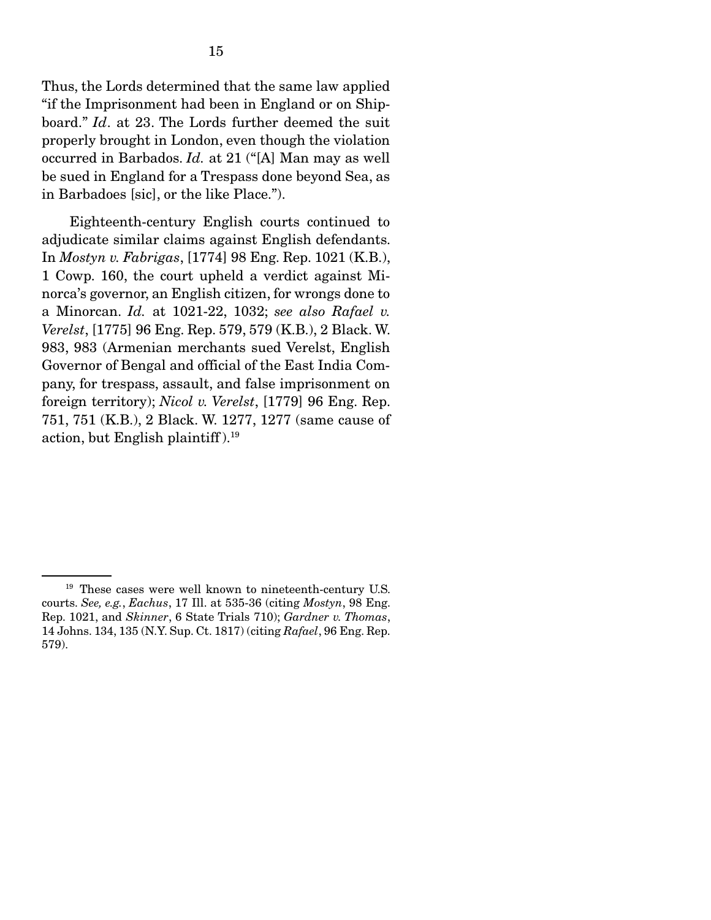Thus, the Lords determined that the same law applied "if the Imprisonment had been in England or on Shipboard." *Id*. at 23. The Lords further deemed the suit properly brought in London, even though the violation occurred in Barbados. *Id.* at 21 ("[A] Man may as well be sued in England for a Trespass done beyond Sea, as in Barbadoes [sic], or the like Place.").

 Eighteenth-century English courts continued to adjudicate similar claims against English defendants. In *Mostyn v. Fabrigas*, [1774] 98 Eng. Rep. 1021 (K.B.), 1 Cowp. 160, the court upheld a verdict against Minorca's governor, an English citizen, for wrongs done to a Minorcan. *Id.* at 1021-22, 1032; *see also Rafael v. Verelst*, [1775] 96 Eng. Rep. 579, 579 (K.B.), 2 Black. W. 983, 983 (Armenian merchants sued Verelst, English Governor of Bengal and official of the East India Company, for trespass, assault, and false imprisonment on foreign territory); *Nicol v. Verelst*, [1779] 96 Eng. Rep. 751, 751 (K.B.), 2 Black. W. 1277, 1277 (same cause of action, but English plaintiff).<sup>19</sup>

<sup>&</sup>lt;sup>19</sup> These cases were well known to nineteenth-century U.S. courts. *See, e.g.*, *Eachus*, 17 Ill. at 535-36 (citing *Mostyn*, 98 Eng. Rep. 1021, and *Skinner*, 6 State Trials 710); *Gardner v. Thomas*, 14 Johns. 134, 135 (N.Y. Sup. Ct. 1817) (citing *Rafael*, 96 Eng. Rep. 579).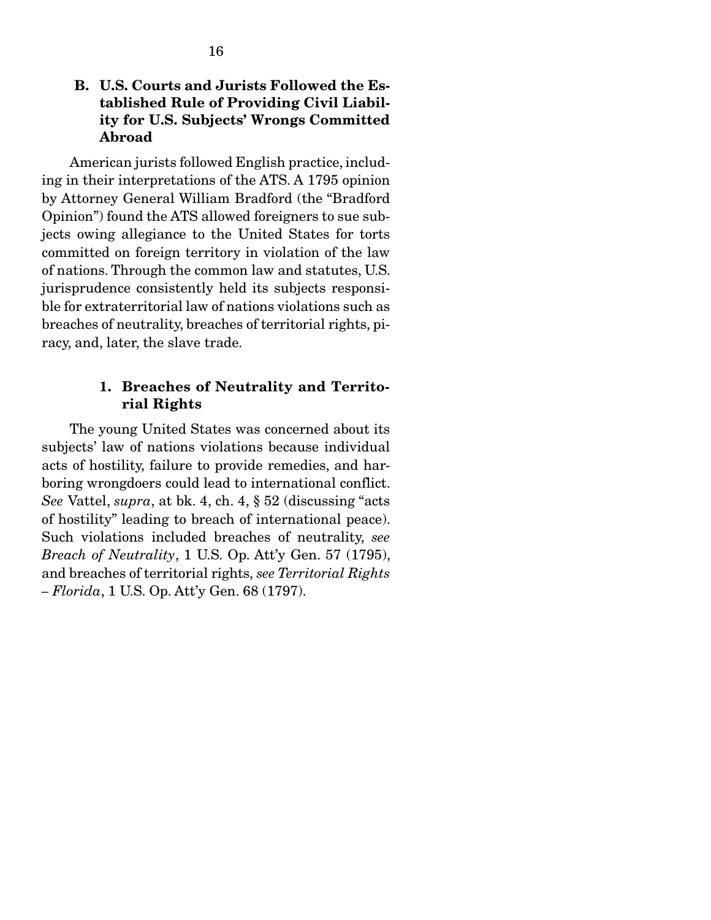## B. U.S. Courts and Jurists Followed the Established Rule of Providing Civil Liability for U.S. Subjects' Wrongs Committed Abroad

American jurists followed English practice, including in their interpretations of the ATS. A 1795 opinion by Attorney General William Bradford (the "Bradford Opinion") found the ATS allowed foreigners to sue subjects owing allegiance to the United States for torts committed on foreign territory in violation of the law of nations. Through the common law and statutes, U.S. jurisprudence consistently held its subjects responsible for extraterritorial law of nations violations such as breaches of neutrality, breaches of territorial rights, piracy, and, later, the slave trade.

### 1. Breaches of Neutrality and Territorial Rights

The young United States was concerned about its subjects' law of nations violations because individual acts of hostility, failure to provide remedies, and harboring wrongdoers could lead to international conflict. *See* Vattel, *supra*, at bk. 4, ch. 4, § 52 (discussing "acts of hostility" leading to breach of international peace). Such violations included breaches of neutrality, *see Breach of Neutrality*, 1 U.S. Op. Att'y Gen. 57 (1795), and breaches of territorial rights, *see Territorial Rights – Florida*, 1 U.S. Op. Att'y Gen. 68 (1797).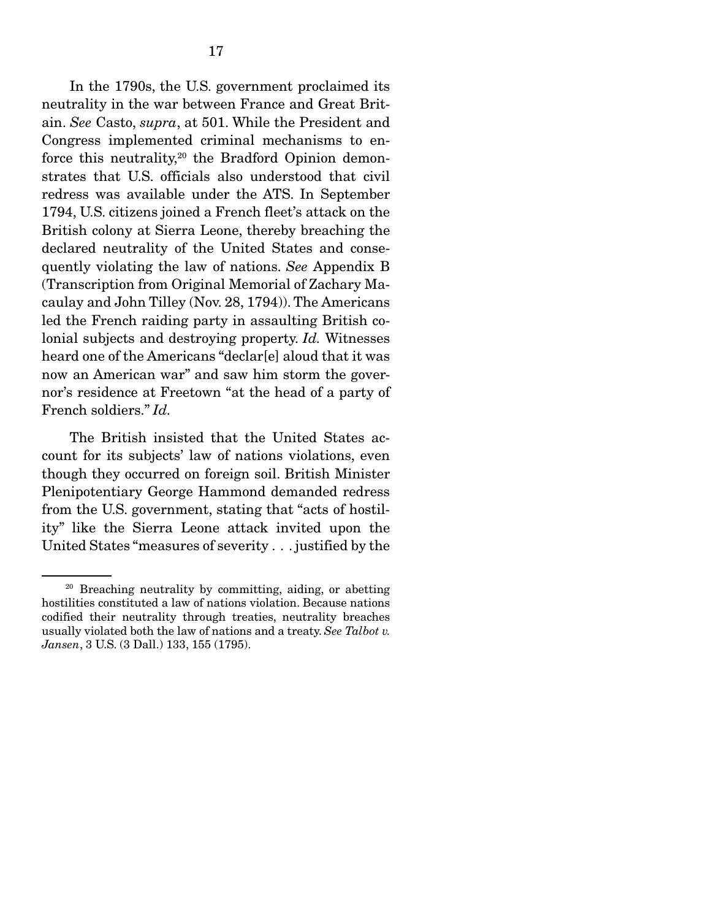In the 1790s, the U.S. government proclaimed its neutrality in the war between France and Great Britain. *See* Casto, *supra*, at 501. While the President and Congress implemented criminal mechanisms to enforce this neutrality,<sup>20</sup> the Bradford Opinion demonstrates that U.S. officials also understood that civil redress was available under the ATS. In September 1794, U.S. citizens joined a French fleet's attack on the British colony at Sierra Leone, thereby breaching the declared neutrality of the United States and consequently violating the law of nations. *See* Appendix B (Transcription from Original Memorial of Zachary Macaulay and John Tilley (Nov. 28, 1794)). The Americans led the French raiding party in assaulting British colonial subjects and destroying property. *Id.* Witnesses heard one of the Americans "declar[e] aloud that it was now an American war" and saw him storm the governor's residence at Freetown "at the head of a party of French soldiers." *Id.*

 The British insisted that the United States account for its subjects' law of nations violations, even though they occurred on foreign soil. British Minister Plenipotentiary George Hammond demanded redress from the U.S. government, stating that "acts of hostility" like the Sierra Leone attack invited upon the United States "measures of severity . . . justified by the

<sup>20</sup> Breaching neutrality by committing, aiding, or abetting hostilities constituted a law of nations violation. Because nations codified their neutrality through treaties, neutrality breaches usually violated both the law of nations and a treaty. *See Talbot v. Jansen*, 3 U.S. (3 Dall.) 133, 155 (1795).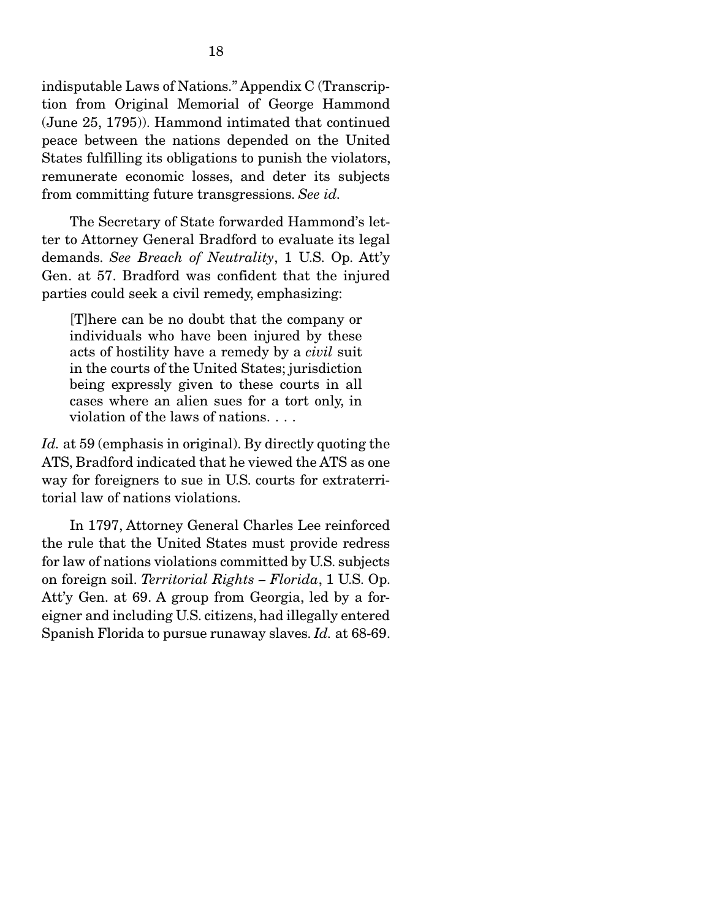indisputable Laws of Nations." Appendix C (Transcription from Original Memorial of George Hammond (June 25, 1795)). Hammond intimated that continued peace between the nations depended on the United States fulfilling its obligations to punish the violators, remunerate economic losses, and deter its subjects from committing future transgressions. *See id.*

The Secretary of State forwarded Hammond's letter to Attorney General Bradford to evaluate its legal demands. *See Breach of Neutrality*, 1 U.S. Op. Att'y Gen. at 57. Bradford was confident that the injured parties could seek a civil remedy, emphasizing:

[T]here can be no doubt that the company or individuals who have been injured by these acts of hostility have a remedy by a *civil* suit in the courts of the United States; jurisdiction being expressly given to these courts in all cases where an alien sues for a tort only, in violation of the laws of nations. . . .

*Id.* at 59 (emphasis in original). By directly quoting the ATS, Bradford indicated that he viewed the ATS as one way for foreigners to sue in U.S. courts for extraterritorial law of nations violations.

 In 1797, Attorney General Charles Lee reinforced the rule that the United States must provide redress for law of nations violations committed by U.S. subjects on foreign soil. *Territorial Rights – Florida*, 1 U.S. Op. Att'y Gen. at 69. A group from Georgia, led by a foreigner and including U.S. citizens, had illegally entered Spanish Florida to pursue runaway slaves. *Id.* at 68-69.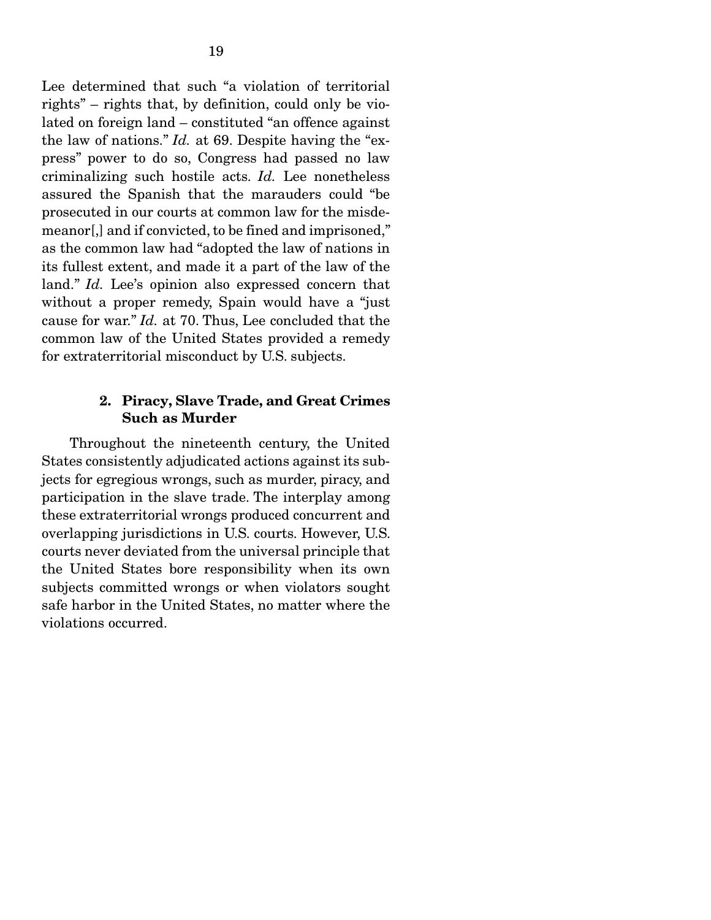Lee determined that such "a violation of territorial rights" – rights that, by definition, could only be violated on foreign land – constituted "an offence against the law of nations." *Id.* at 69. Despite having the "express" power to do so, Congress had passed no law criminalizing such hostile acts. *Id.* Lee nonetheless assured the Spanish that the marauders could "be prosecuted in our courts at common law for the misdemeanor[,] and if convicted, to be fined and imprisoned," as the common law had "adopted the law of nations in its fullest extent, and made it a part of the law of the land." *Id.* Lee's opinion also expressed concern that without a proper remedy, Spain would have a "just cause for war." *Id.* at 70. Thus, Lee concluded that the common law of the United States provided a remedy for extraterritorial misconduct by U.S. subjects.

#### 2. Piracy, Slave Trade, and Great Crimes Such as Murder

Throughout the nineteenth century, the United States consistently adjudicated actions against its subjects for egregious wrongs, such as murder, piracy, and participation in the slave trade. The interplay among these extraterritorial wrongs produced concurrent and overlapping jurisdictions in U.S. courts. However, U.S. courts never deviated from the universal principle that the United States bore responsibility when its own subjects committed wrongs or when violators sought safe harbor in the United States, no matter where the violations occurred.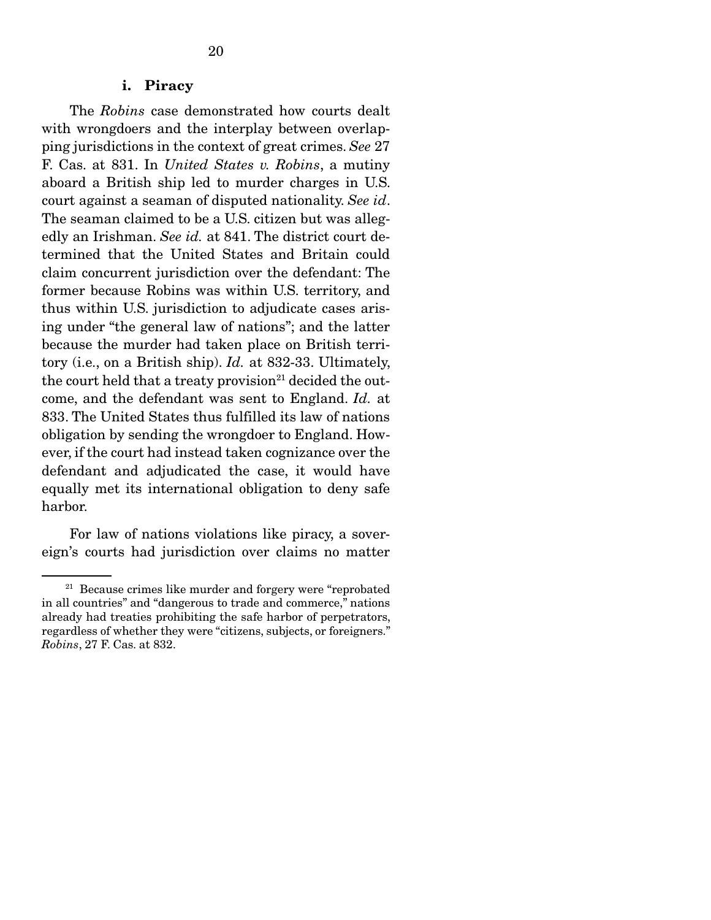#### i. Piracy

The *Robins* case demonstrated how courts dealt with wrongdoers and the interplay between overlapping jurisdictions in the context of great crimes. *See* 27 F. Cas. at 831. In *United States v. Robins*, a mutiny aboard a British ship led to murder charges in U.S. court against a seaman of disputed nationality. *See id*. The seaman claimed to be a U.S. citizen but was allegedly an Irishman. *See id.* at 841. The district court determined that the United States and Britain could claim concurrent jurisdiction over the defendant: The former because Robins was within U.S. territory, and thus within U.S. jurisdiction to adjudicate cases arising under "the general law of nations"; and the latter because the murder had taken place on British territory (i.e., on a British ship). *Id.* at 832-33. Ultimately, the court held that a treaty provision<sup>21</sup> decided the outcome, and the defendant was sent to England. *Id.* at 833. The United States thus fulfilled its law of nations obligation by sending the wrongdoer to England. However, if the court had instead taken cognizance over the defendant and adjudicated the case, it would have equally met its international obligation to deny safe harbor.

 For law of nations violations like piracy, a sovereign's courts had jurisdiction over claims no matter

 $21$  Because crimes like murder and forgery were "reprobated" in all countries" and "dangerous to trade and commerce," nations already had treaties prohibiting the safe harbor of perpetrators, regardless of whether they were "citizens, subjects, or foreigners." *Robins*, 27 F. Cas. at 832.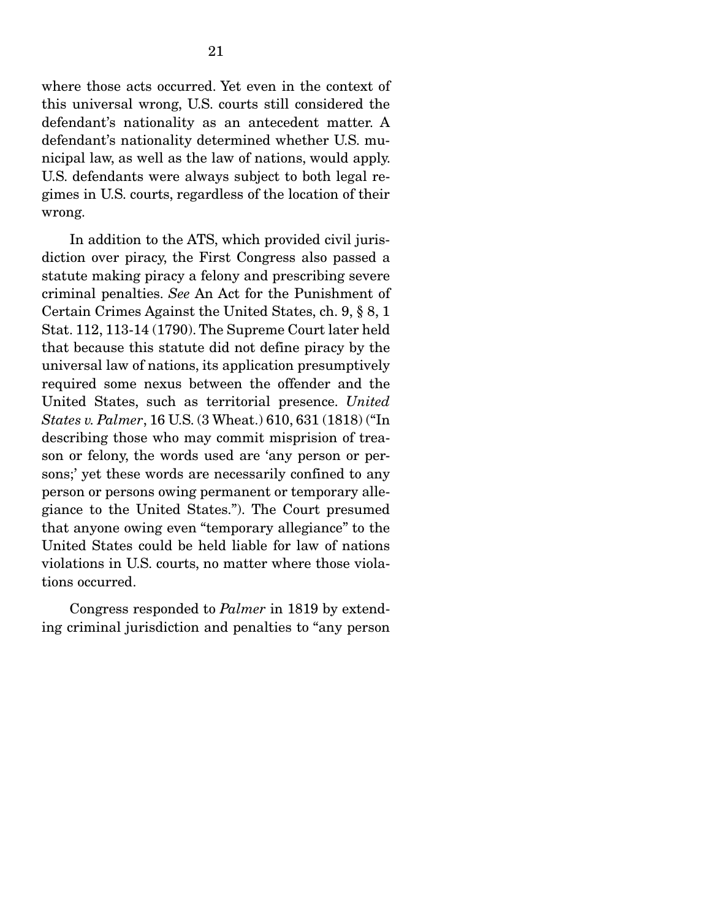where those acts occurred. Yet even in the context of this universal wrong, U.S. courts still considered the defendant's nationality as an antecedent matter. A defendant's nationality determined whether U.S. municipal law, as well as the law of nations, would apply. U.S. defendants were always subject to both legal regimes in U.S. courts, regardless of the location of their wrong.

 In addition to the ATS, which provided civil jurisdiction over piracy, the First Congress also passed a statute making piracy a felony and prescribing severe criminal penalties. *See* An Act for the Punishment of Certain Crimes Against the United States, ch. 9, § 8, 1 Stat. 112, 113-14 (1790). The Supreme Court later held that because this statute did not define piracy by the universal law of nations, its application presumptively required some nexus between the offender and the United States, such as territorial presence. *United States v. Palmer*, 16 U.S. (3 Wheat.) 610, 631 (1818) ("In describing those who may commit misprision of treason or felony, the words used are 'any person or persons;' yet these words are necessarily confined to any person or persons owing permanent or temporary allegiance to the United States."). The Court presumed that anyone owing even "temporary allegiance" to the United States could be held liable for law of nations violations in U.S. courts, no matter where those violations occurred.

 Congress responded to *Palmer* in 1819 by extending criminal jurisdiction and penalties to "any person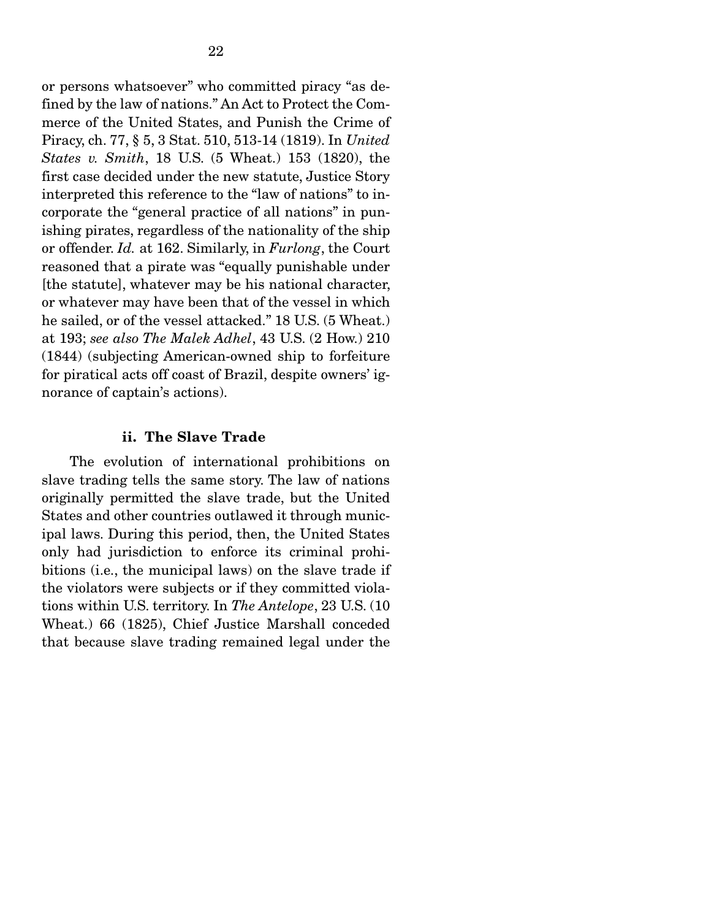or persons whatsoever" who committed piracy "as defined by the law of nations." An Act to Protect the Commerce of the United States, and Punish the Crime of Piracy, ch. 77, § 5, 3 Stat. 510, 513-14 (1819). In *United States v. Smith*, 18 U.S. (5 Wheat.) 153 (1820), the first case decided under the new statute, Justice Story interpreted this reference to the "law of nations" to incorporate the "general practice of all nations" in punishing pirates, regardless of the nationality of the ship or offender. *Id.* at 162. Similarly, in *Furlong*, the Court reasoned that a pirate was "equally punishable under [the statute], whatever may be his national character, or whatever may have been that of the vessel in which he sailed, or of the vessel attacked." 18 U.S. (5 Wheat.) at 193; *see also The Malek Adhel*, 43 U.S. (2 How.) 210 (1844) (subjecting American-owned ship to forfeiture for piratical acts off coast of Brazil, despite owners' ignorance of captain's actions).

#### ii. The Slave Trade

The evolution of international prohibitions on slave trading tells the same story. The law of nations originally permitted the slave trade, but the United States and other countries outlawed it through municipal laws. During this period, then, the United States only had jurisdiction to enforce its criminal prohibitions (i.e., the municipal laws) on the slave trade if the violators were subjects or if they committed violations within U.S. territory. In *The Antelope*, 23 U.S. (10 Wheat.) 66 (1825), Chief Justice Marshall conceded that because slave trading remained legal under the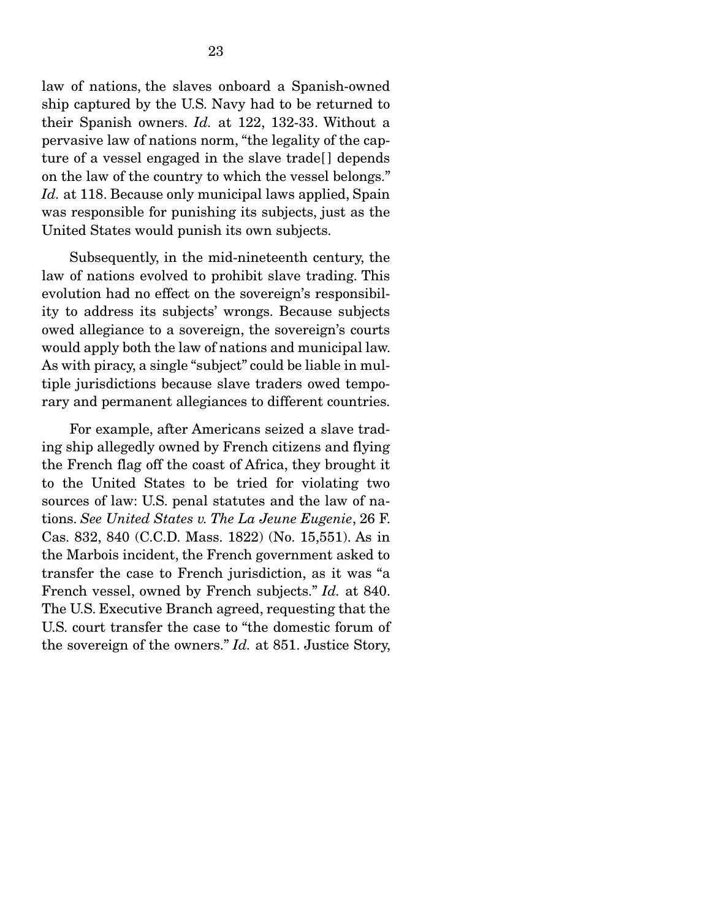law of nations, the slaves onboard a Spanish-owned ship captured by the U.S. Navy had to be returned to their Spanish owners. *Id.* at 122, 132-33. Without a pervasive law of nations norm, "the legality of the capture of a vessel engaged in the slave trade[ ] depends on the law of the country to which the vessel belongs." *Id.* at 118. Because only municipal laws applied, Spain was responsible for punishing its subjects, just as the United States would punish its own subjects.

 Subsequently, in the mid-nineteenth century, the law of nations evolved to prohibit slave trading. This evolution had no effect on the sovereign's responsibility to address its subjects' wrongs. Because subjects owed allegiance to a sovereign, the sovereign's courts would apply both the law of nations and municipal law. As with piracy, a single "subject" could be liable in multiple jurisdictions because slave traders owed temporary and permanent allegiances to different countries.

 For example, after Americans seized a slave trading ship allegedly owned by French citizens and flying the French flag off the coast of Africa, they brought it to the United States to be tried for violating two sources of law: U.S. penal statutes and the law of nations. *See United States v. The La Jeune Eugenie*, 26 F. Cas. 832, 840 (C.C.D. Mass. 1822) (No. 15,551). As in the Marbois incident, the French government asked to transfer the case to French jurisdiction, as it was "a French vessel, owned by French subjects." *Id.* at 840. The U.S. Executive Branch agreed, requesting that the U.S. court transfer the case to "the domestic forum of the sovereign of the owners." *Id.* at 851. Justice Story,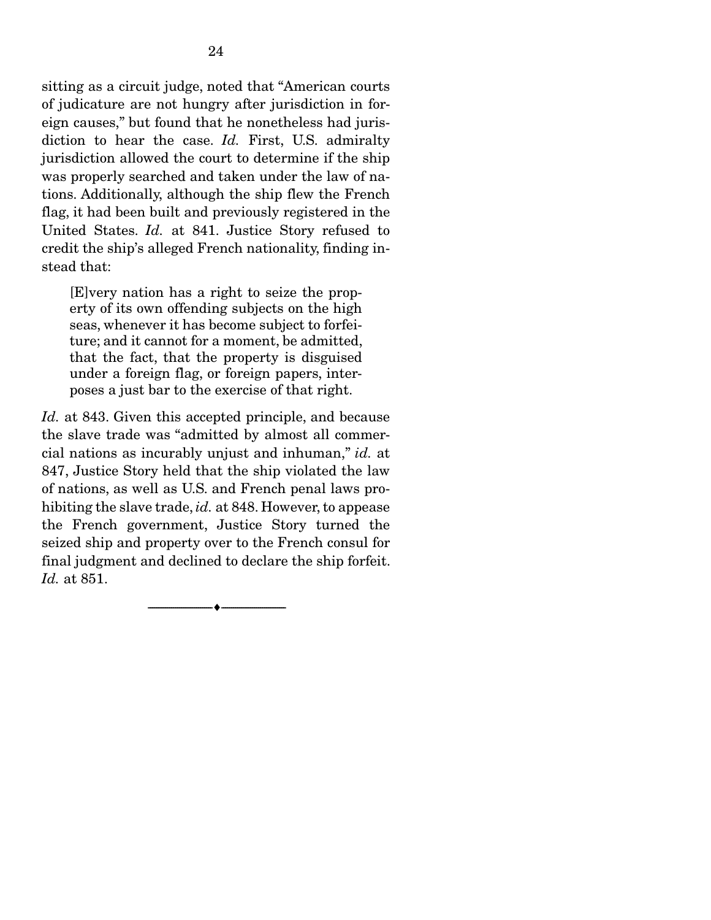sitting as a circuit judge, noted that "American courts of judicature are not hungry after jurisdiction in foreign causes," but found that he nonetheless had jurisdiction to hear the case. *Id.* First, U.S. admiralty jurisdiction allowed the court to determine if the ship was properly searched and taken under the law of nations. Additionally, although the ship flew the French flag, it had been built and previously registered in the United States. *Id.* at 841. Justice Story refused to credit the ship's alleged French nationality, finding instead that:

[E]very nation has a right to seize the property of its own offending subjects on the high seas, whenever it has become subject to forfeiture; and it cannot for a moment, be admitted, that the fact, that the property is disguised under a foreign flag, or foreign papers, interposes a just bar to the exercise of that right.

*Id.* at 843. Given this accepted principle, and because the slave trade was "admitted by almost all commercial nations as incurably unjust and inhuman," *id.* at 847, Justice Story held that the ship violated the law of nations, as well as U.S. and French penal laws prohibiting the slave trade, *id.* at 848. However, to appease the French government, Justice Story turned the seized ship and property over to the French consul for final judgment and declined to declare the ship forfeit. *Id.* at 851.

--------------------------------- ---------------------------------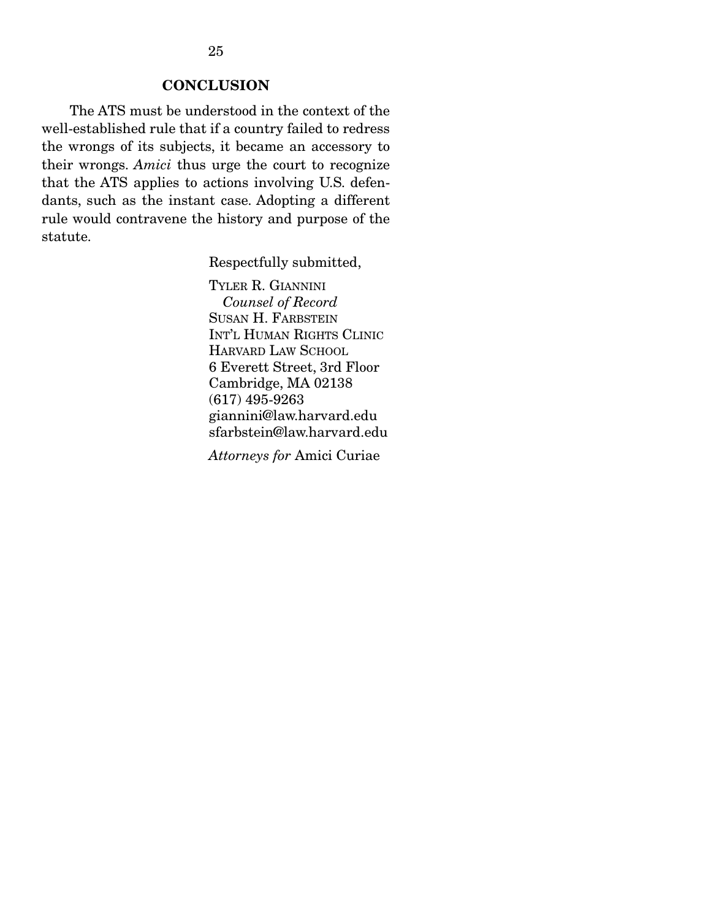### **CONCLUSION**

The ATS must be understood in the context of the well-established rule that if a country failed to redress the wrongs of its subjects, it became an accessory to their wrongs. *Amici* thus urge the court to recognize that the ATS applies to actions involving U.S. defendants, such as the instant case. Adopting a different rule would contravene the history and purpose of the statute.

Respectfully submitted,

TYLER R. GIANNINI *Counsel of Record* SUSAN H. FARBSTEIN INT'L HUMAN RIGHTS CLINIC HARVARD LAW SCHOOL 6 Everett Street, 3rd Floor Cambridge, MA 02138 (617) 495-9263 giannini@law.harvard.edu sfarbstein@law.harvard.edu

*Attorneys for* Amici Curiae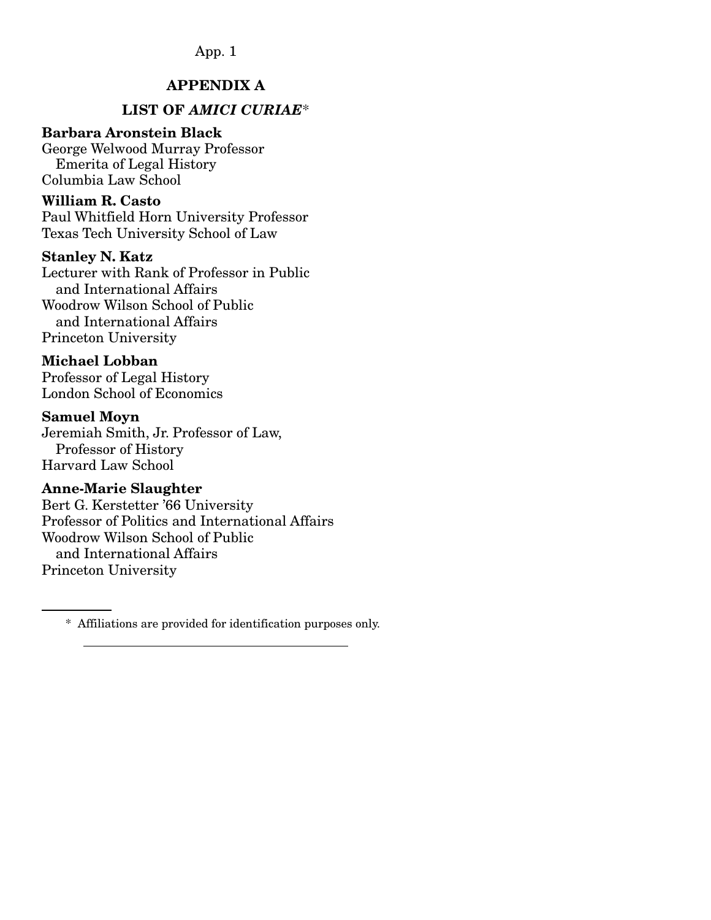## APPENDIX A

## LIST OF *AMICI CURIAE*\*

#### Barbara Aronstein Black

George Welwood Murray Professor Emerita of Legal History Columbia Law School

#### William R. Casto

Paul Whitfield Horn University Professor Texas Tech University School of Law

### Stanley N. Katz

Lecturer with Rank of Professor in Public and International Affairs Woodrow Wilson School of Public and International Affairs Princeton University

### Michael Lobban

Professor of Legal History London School of Economics

#### Samuel Moyn

Jeremiah Smith, Jr. Professor of Law, Professor of History Harvard Law School

#### Anne-Marie Slaughter

Bert G. Kerstetter '66 University Professor of Politics and International Affairs Woodrow Wilson School of Public and International Affairs Princeton University

 <sup>\*</sup> Affiliations are provided for identification purposes only.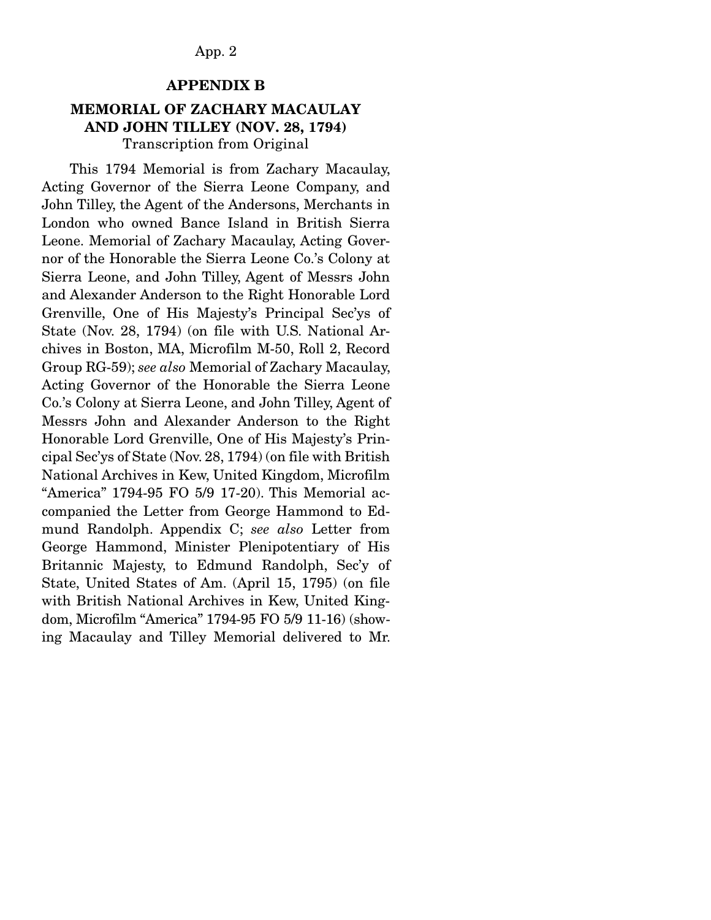#### APPENDIX B

### MEMORIAL OF ZACHARY MACAULAY AND JOHN TILLEY (NOV. 28, 1794) Transcription from Original

 This 1794 Memorial is from Zachary Macaulay, Acting Governor of the Sierra Leone Company, and John Tilley, the Agent of the Andersons, Merchants in London who owned Bance Island in British Sierra Leone. Memorial of Zachary Macaulay, Acting Governor of the Honorable the Sierra Leone Co.'s Colony at Sierra Leone, and John Tilley, Agent of Messrs John and Alexander Anderson to the Right Honorable Lord Grenville, One of His Majesty's Principal Sec'ys of State (Nov. 28, 1794) (on file with U.S. National Archives in Boston, MA, Microfilm M-50, Roll 2, Record Group RG-59); *see also* Memorial of Zachary Macaulay, Acting Governor of the Honorable the Sierra Leone Co.'s Colony at Sierra Leone, and John Tilley, Agent of Messrs John and Alexander Anderson to the Right Honorable Lord Grenville, One of His Majesty's Principal Sec'ys of State (Nov. 28, 1794) (on file with British National Archives in Kew, United Kingdom, Microfilm "America" 1794-95 FO 5/9 17-20). This Memorial accompanied the Letter from George Hammond to Edmund Randolph. Appendix C; *see also* Letter from George Hammond, Minister Plenipotentiary of His Britannic Majesty, to Edmund Randolph, Sec'y of State, United States of Am. (April 15, 1795) (on file with British National Archives in Kew, United Kingdom, Microfilm "America" 1794-95 FO 5/9 11-16) (showing Macaulay and Tilley Memorial delivered to Mr.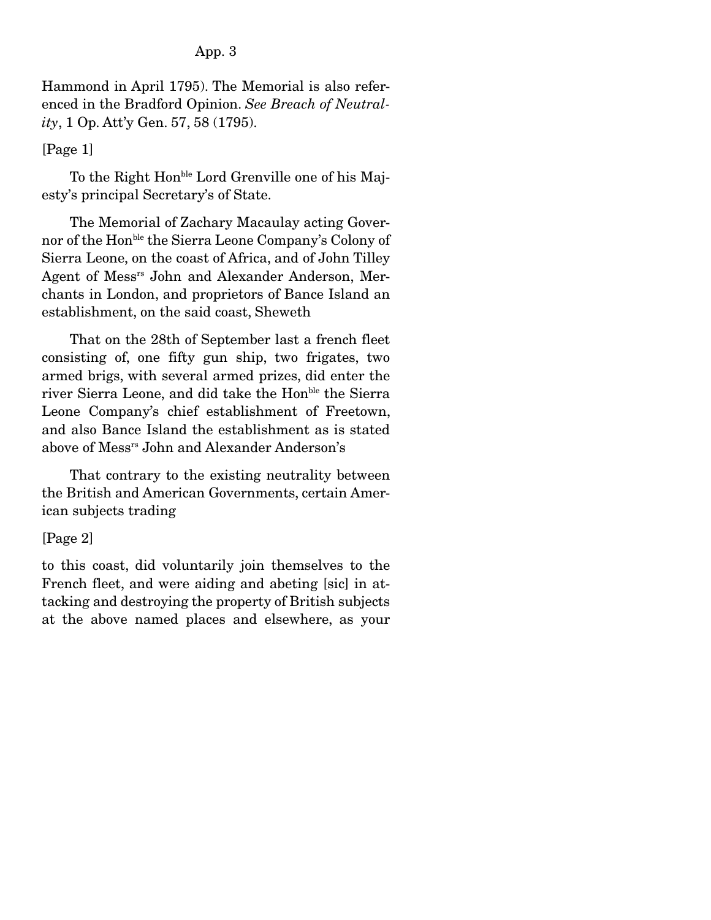Hammond in April 1795). The Memorial is also referenced in the Bradford Opinion. *See Breach of Neutrality*, 1 Op. Att'y Gen. 57, 58 (1795).

## [Page 1]

To the Right Hon<sup>ble</sup> Lord Grenville one of his Majesty's principal Secretary's of State.

 The Memorial of Zachary Macaulay acting Governor of the Honble the Sierra Leone Company's Colony of Sierra Leone, on the coast of Africa, and of John Tilley Agent of Messrs John and Alexander Anderson, Merchants in London, and proprietors of Bance Island an establishment, on the said coast, Sheweth

 That on the 28th of September last a french fleet consisting of, one fifty gun ship, two frigates, two armed brigs, with several armed prizes, did enter the river Sierra Leone, and did take the Hon<sup>ble</sup> the Sierra Leone Company's chief establishment of Freetown, and also Bance Island the establishment as is stated above of Messrs John and Alexander Anderson's

 That contrary to the existing neutrality between the British and American Governments, certain American subjects trading

## [Page 2]

to this coast, did voluntarily join themselves to the French fleet, and were aiding and abeting [sic] in attacking and destroying the property of British subjects at the above named places and elsewhere, as your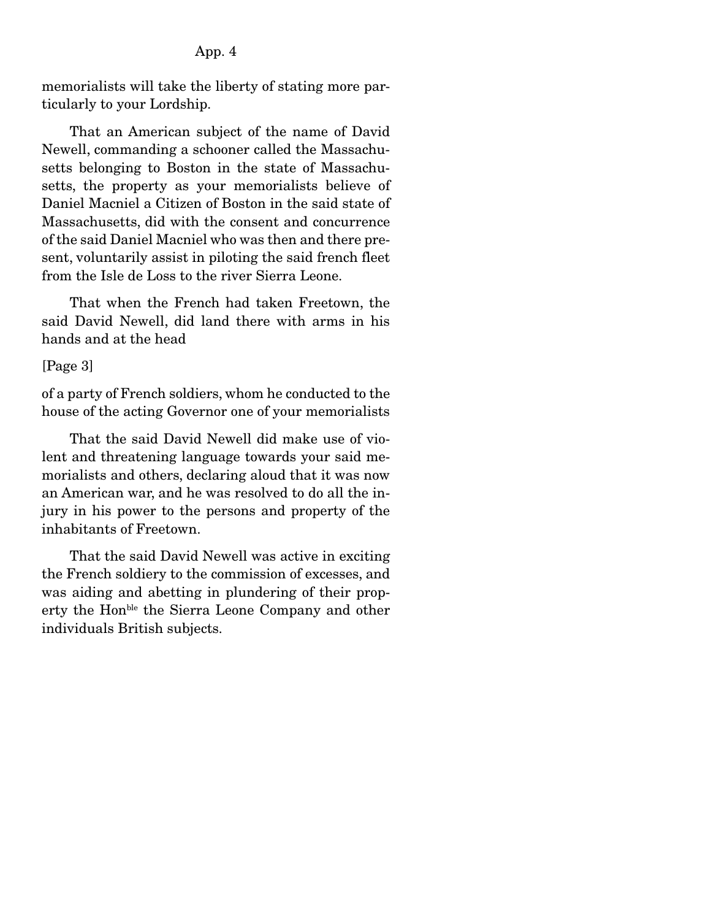memorialists will take the liberty of stating more particularly to your Lordship.

 That an American subject of the name of David Newell, commanding a schooner called the Massachusetts belonging to Boston in the state of Massachusetts, the property as your memorialists believe of Daniel Macniel a Citizen of Boston in the said state of Massachusetts, did with the consent and concurrence of the said Daniel Macniel who was then and there present, voluntarily assist in piloting the said french fleet from the Isle de Loss to the river Sierra Leone.

 That when the French had taken Freetown, the said David Newell, did land there with arms in his hands and at the head

### [Page 3]

of a party of French soldiers, whom he conducted to the house of the acting Governor one of your memorialists

 That the said David Newell did make use of violent and threatening language towards your said memorialists and others, declaring aloud that it was now an American war, and he was resolved to do all the injury in his power to the persons and property of the inhabitants of Freetown.

 That the said David Newell was active in exciting the French soldiery to the commission of excesses, and was aiding and abetting in plundering of their property the Hon<sup>ble</sup> the Sierra Leone Company and other individuals British subjects.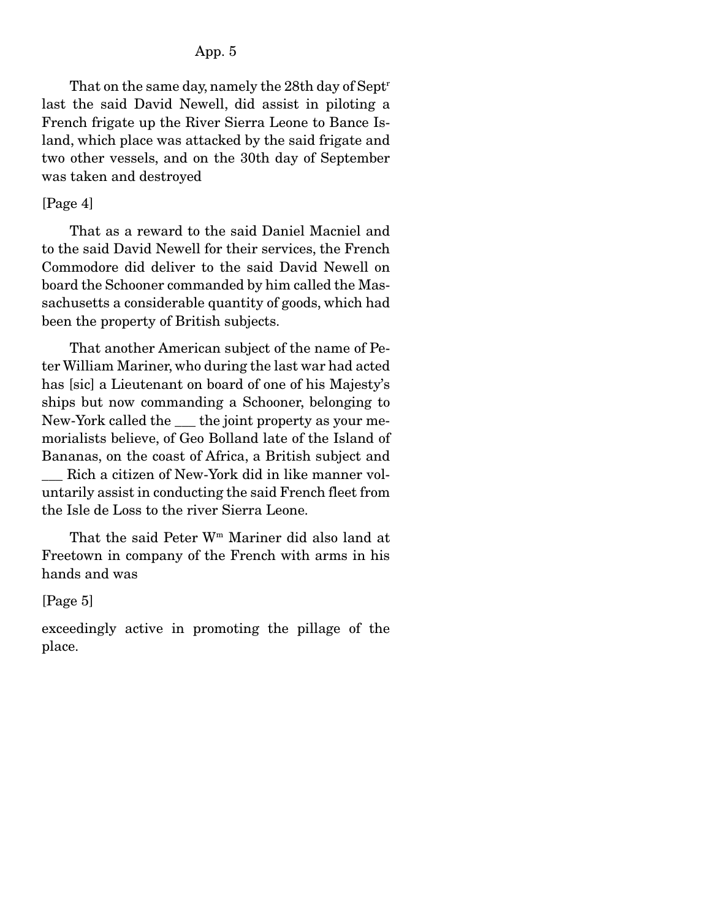That on the same day, namely the 28th day of Septr last the said David Newell, did assist in piloting a French frigate up the River Sierra Leone to Bance Island, which place was attacked by the said frigate and two other vessels, and on the 30th day of September was taken and destroyed

#### [Page 4]

 That as a reward to the said Daniel Macniel and to the said David Newell for their services, the French Commodore did deliver to the said David Newell on board the Schooner commanded by him called the Massachusetts a considerable quantity of goods, which had been the property of British subjects.

 That another American subject of the name of Peter William Mariner, who during the last war had acted has [sic] a Lieutenant on board of one of his Majesty's ships but now commanding a Schooner, belonging to New-York called the \_\_\_ the joint property as your memorialists believe, of Geo Bolland late of the Island of Bananas, on the coast of Africa, a British subject and

Rich a citizen of New-York did in like manner voluntarily assist in conducting the said French fleet from the Isle de Loss to the river Sierra Leone.

 That the said Peter Wm Mariner did also land at Freetown in company of the French with arms in his hands and was

#### [Page 5]

exceedingly active in promoting the pillage of the place.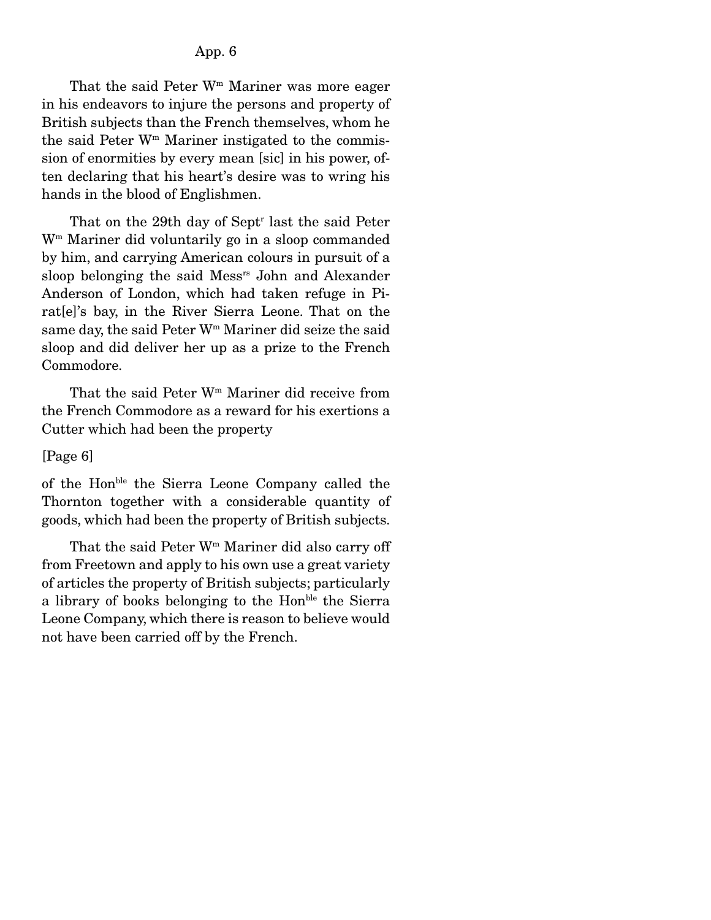That the said Peter  $W<sup>m</sup>$  Mariner was more eager in his endeavors to injure the persons and property of British subjects than the French themselves, whom he the said Peter  $W<sup>m</sup>$  Mariner instigated to the commission of enormities by every mean [sic] in his power, often declaring that his heart's desire was to wring his hands in the blood of Englishmen.

That on the 29th day of Sept<sup>r</sup> last the said Peter Wm Mariner did voluntarily go in a sloop commanded by him, and carrying American colours in pursuit of a sloop belonging the said Messrs John and Alexander Anderson of London, which had taken refuge in Pirat[e]'s bay, in the River Sierra Leone. That on the same day, the said Peter W<sup>m</sup> Mariner did seize the said sloop and did deliver her up as a prize to the French Commodore.

 That the said Peter Wm Mariner did receive from the French Commodore as a reward for his exertions a Cutter which had been the property

#### [Page 6]

of the Honble the Sierra Leone Company called the Thornton together with a considerable quantity of goods, which had been the property of British subjects.

That the said Peter  $W<sup>m</sup>$  Mariner did also carry off from Freetown and apply to his own use a great variety of articles the property of British subjects; particularly a library of books belonging to the Hon<sup>ble</sup> the Sierra Leone Company, which there is reason to believe would not have been carried off by the French.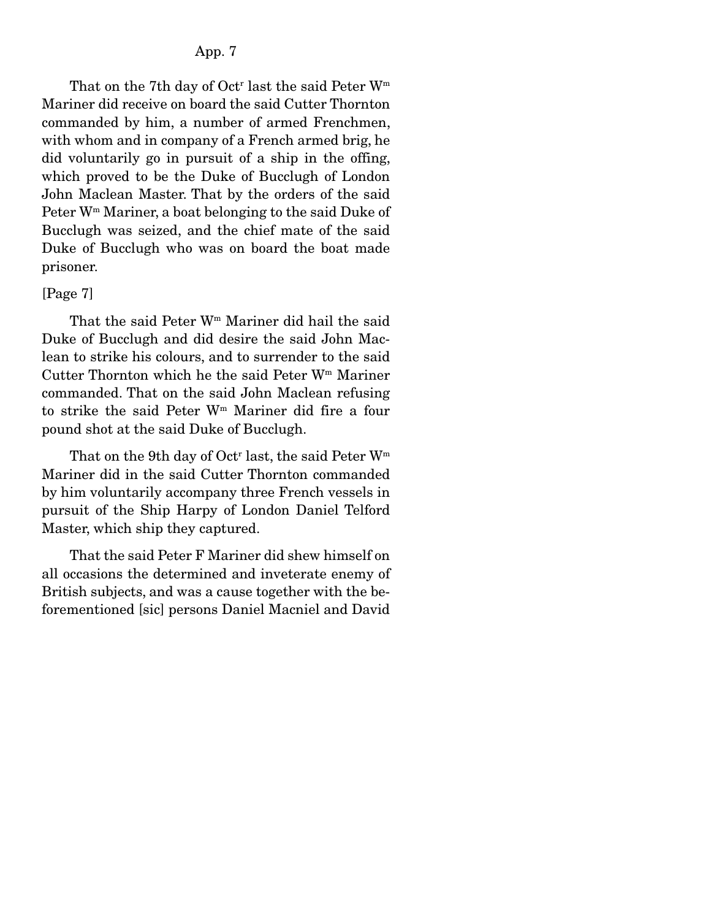That on the 7<sup>th</sup> day of Oct<sup>r</sup> last the said Peter  $W<sup>m</sup>$ Mariner did receive on board the said Cutter Thornton commanded by him, a number of armed Frenchmen, with whom and in company of a French armed brig, he did voluntarily go in pursuit of a ship in the offing, which proved to be the Duke of Bucclugh of London John Maclean Master. That by the orders of the said Peter Wm Mariner, a boat belonging to the said Duke of Bucclugh was seized, and the chief mate of the said Duke of Bucclugh who was on board the boat made prisoner.

#### [Page 7]

That the said Peter W<sup>m</sup> Mariner did hail the said Duke of Bucclugh and did desire the said John Maclean to strike his colours, and to surrender to the said Cutter Thornton which he the said Peter  $W<sup>m</sup>$  Mariner commanded. That on the said John Maclean refusing to strike the said Peter Wm Mariner did fire a four pound shot at the said Duke of Bucclugh.

That on the 9th day of Oct<sup>r</sup> last, the said Peter  $W^m$ Mariner did in the said Cutter Thornton commanded by him voluntarily accompany three French vessels in pursuit of the Ship Harpy of London Daniel Telford Master, which ship they captured.

 That the said Peter F Mariner did shew himself on all occasions the determined and inveterate enemy of British subjects, and was a cause together with the beforementioned [sic] persons Daniel Macniel and David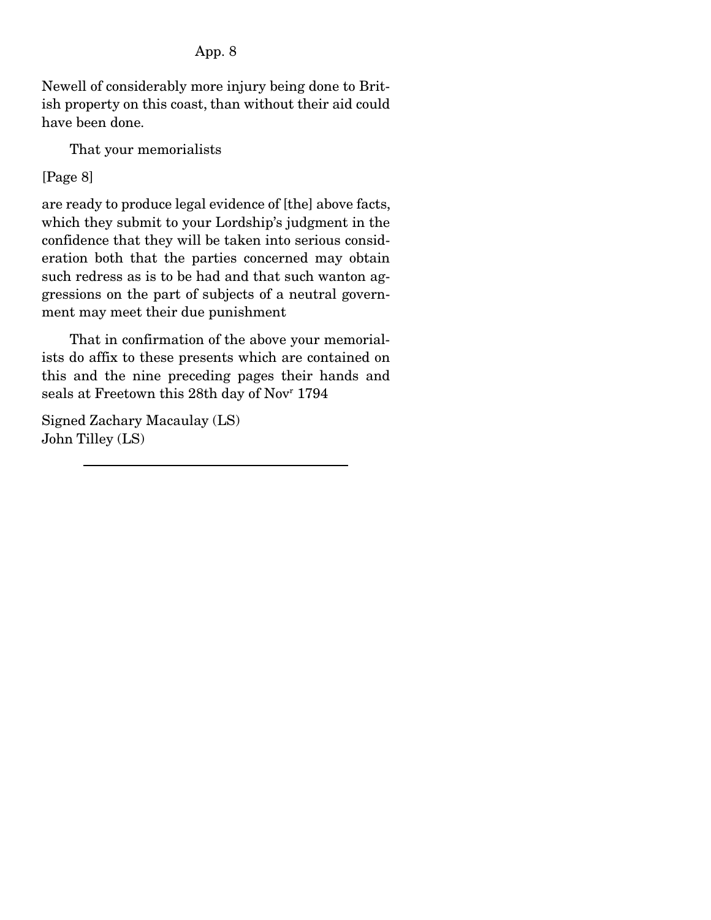Newell of considerably more injury being done to British property on this coast, than without their aid could have been done.

That your memorialists

## [Page 8]

are ready to produce legal evidence of [the] above facts, which they submit to your Lordship's judgment in the confidence that they will be taken into serious consideration both that the parties concerned may obtain such redress as is to be had and that such wanton aggressions on the part of subjects of a neutral government may meet their due punishment

 That in confirmation of the above your memorialists do affix to these presents which are contained on this and the nine preceding pages their hands and seals at Freetown this 28th day of Novr 1794

Signed Zachary Macaulay (LS) John Tilley (LS)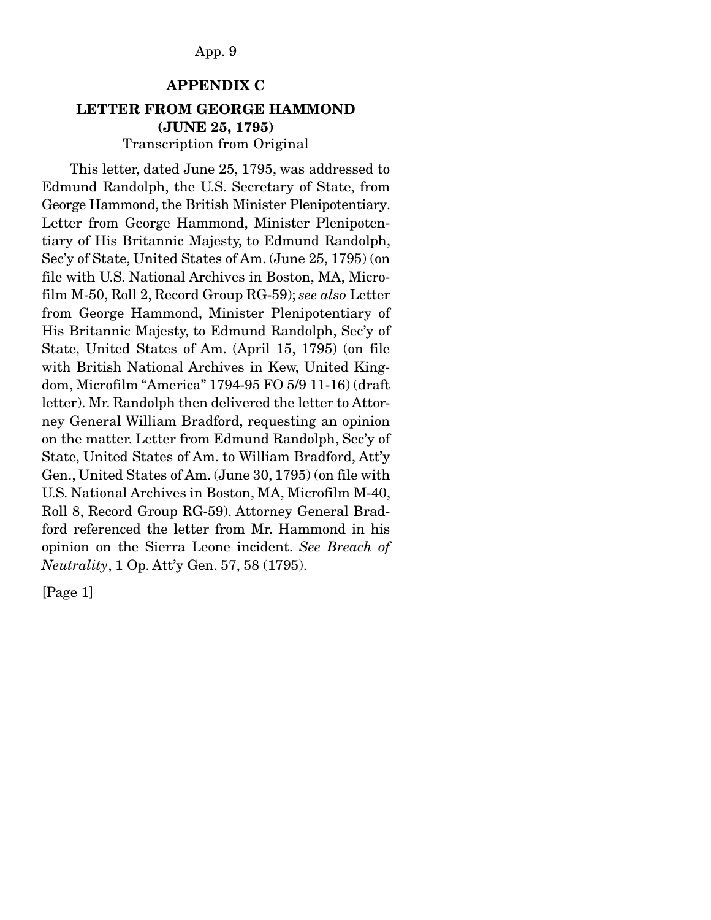#### APPENDIX C

## LETTER FROM GEORGE HAMMOND (JUNE 25, 1795) Transcription from Original

 This letter, dated June 25, 1795, was addressed to Edmund Randolph, the U.S. Secretary of State, from George Hammond, the British Minister Plenipotentiary. Letter from George Hammond, Minister Plenipotentiary of His Britannic Majesty, to Edmund Randolph, Sec'y of State, United States of Am. (June 25, 1795) (on file with U.S. National Archives in Boston, MA, Microfilm M-50, Roll 2, Record Group RG-59); *see also* Letter from George Hammond, Minister Plenipotentiary of His Britannic Majesty, to Edmund Randolph, Sec'y of State, United States of Am. (April 15, 1795) (on file with British National Archives in Kew, United Kingdom, Microfilm "America" 1794-95 FO 5/9 11-16) (draft letter). Mr. Randolph then delivered the letter to Attorney General William Bradford, requesting an opinion on the matter. Letter from Edmund Randolph, Sec'y of State, United States of Am. to William Bradford, Att'y Gen., United States of Am. (June 30, 1795) (on file with U.S. National Archives in Boston, MA, Microfilm M-40, Roll 8, Record Group RG-59). Attorney General Bradford referenced the letter from Mr. Hammond in his opinion on the Sierra Leone incident. *See Breach of Neutrality*, 1 Op. Att'y Gen. 57, 58 (1795).

[Page 1]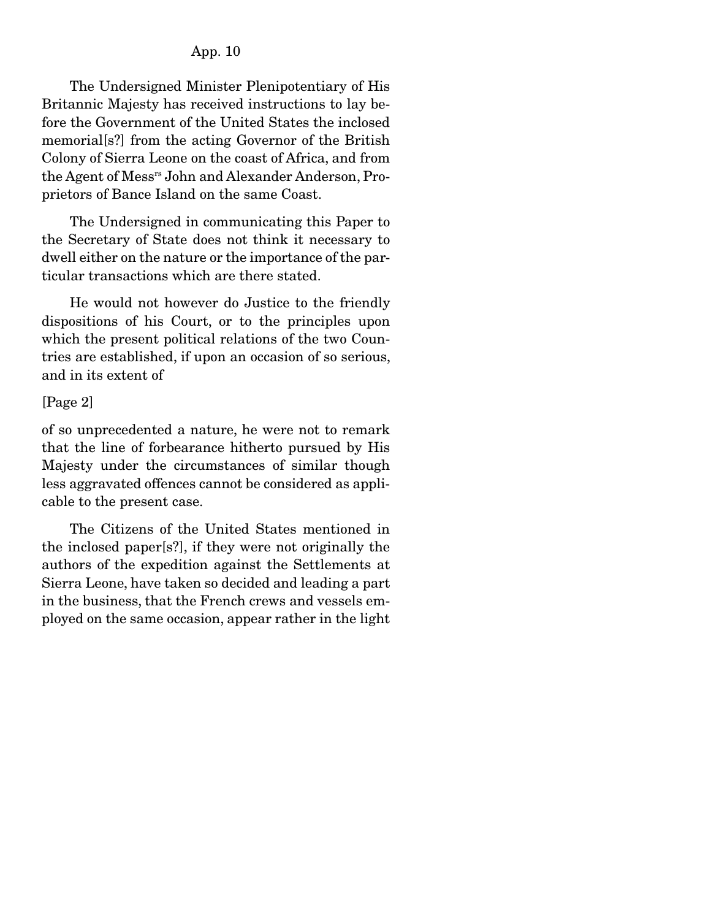The Undersigned Minister Plenipotentiary of His Britannic Majesty has received instructions to lay before the Government of the United States the inclosed memorial[s?] from the acting Governor of the British Colony of Sierra Leone on the coast of Africa, and from the Agent of Messrs John and Alexander Anderson, Proprietors of Bance Island on the same Coast.

 The Undersigned in communicating this Paper to the Secretary of State does not think it necessary to dwell either on the nature or the importance of the particular transactions which are there stated.

 He would not however do Justice to the friendly dispositions of his Court, or to the principles upon which the present political relations of the two Countries are established, if upon an occasion of so serious, and in its extent of

#### [Page 2]

of so unprecedented a nature, he were not to remark that the line of forbearance hitherto pursued by His Majesty under the circumstances of similar though less aggravated offences cannot be considered as applicable to the present case.

 The Citizens of the United States mentioned in the inclosed paper[s?], if they were not originally the authors of the expedition against the Settlements at Sierra Leone, have taken so decided and leading a part in the business, that the French crews and vessels employed on the same occasion, appear rather in the light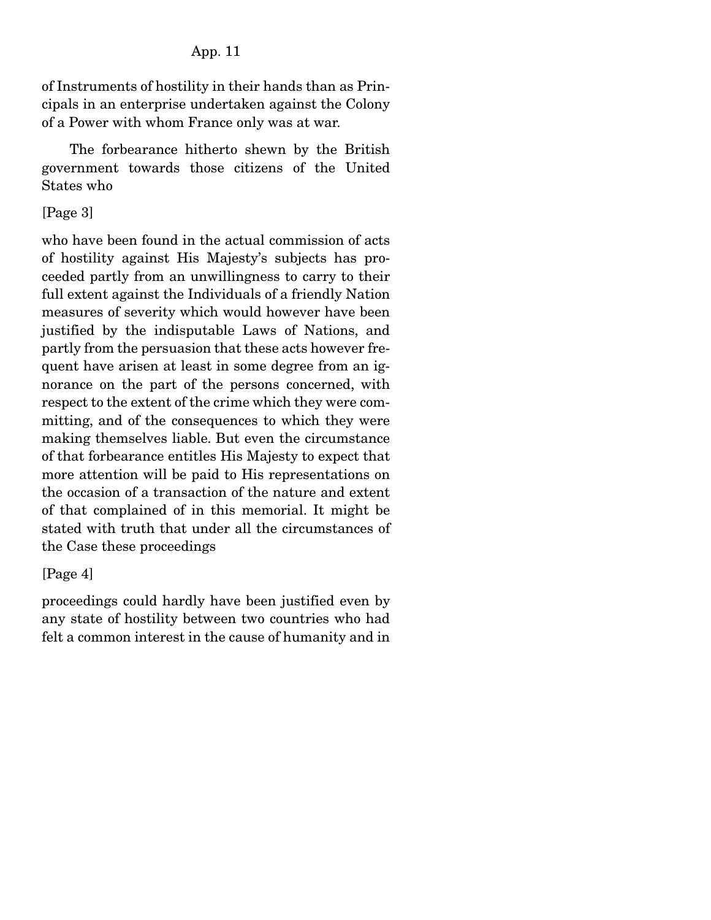of Instruments of hostility in their hands than as Principals in an enterprise undertaken against the Colony of a Power with whom France only was at war.

 The forbearance hitherto shewn by the British government towards those citizens of the United States who

## [Page 3]

who have been found in the actual commission of acts of hostility against His Majesty's subjects has proceeded partly from an unwillingness to carry to their full extent against the Individuals of a friendly Nation measures of severity which would however have been justified by the indisputable Laws of Nations, and partly from the persuasion that these acts however frequent have arisen at least in some degree from an ignorance on the part of the persons concerned, with respect to the extent of the crime which they were committing, and of the consequences to which they were making themselves liable. But even the circumstance of that forbearance entitles His Majesty to expect that more attention will be paid to His representations on the occasion of a transaction of the nature and extent of that complained of in this memorial. It might be stated with truth that under all the circumstances of the Case these proceedings

### [Page 4]

proceedings could hardly have been justified even by any state of hostility between two countries who had felt a common interest in the cause of humanity and in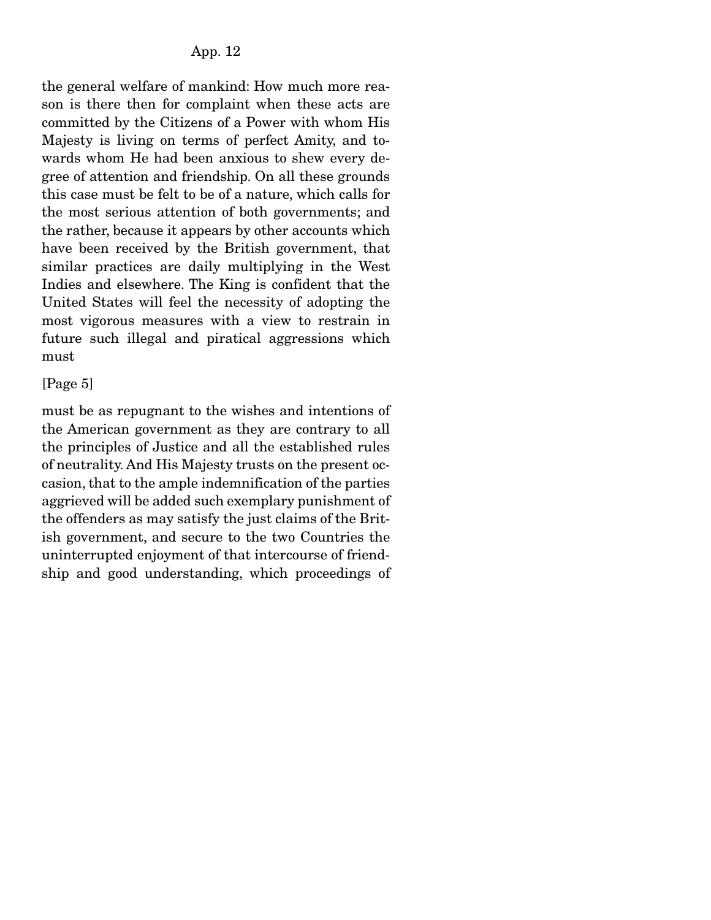the general welfare of mankind: How much more reason is there then for complaint when these acts are committed by the Citizens of a Power with whom His Majesty is living on terms of perfect Amity, and towards whom He had been anxious to shew every degree of attention and friendship. On all these grounds this case must be felt to be of a nature, which calls for the most serious attention of both governments; and the rather, because it appears by other accounts which have been received by the British government, that similar practices are daily multiplying in the West Indies and elsewhere. The King is confident that the United States will feel the necessity of adopting the most vigorous measures with a view to restrain in future such illegal and piratical aggressions which must

## [Page 5]

must be as repugnant to the wishes and intentions of the American government as they are contrary to all the principles of Justice and all the established rules of neutrality. And His Majesty trusts on the present occasion, that to the ample indemnification of the parties aggrieved will be added such exemplary punishment of the offenders as may satisfy the just claims of the British government, and secure to the two Countries the uninterrupted enjoyment of that intercourse of friendship and good understanding, which proceedings of